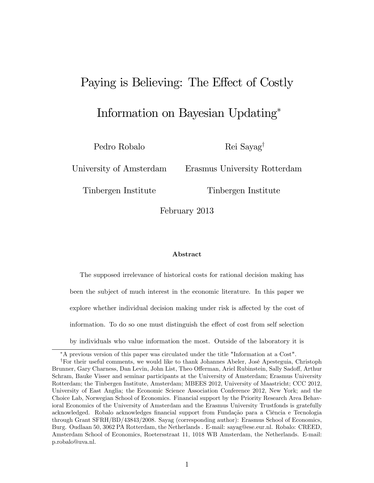## Paying is Believing: The Effect of Costly

# Information on Bayesian Updating

Pedro Robalo

Rei Sayag<sup>†</sup>

University of Amsterdam

Erasmus University Rotterdam

Tinbergen Institute

Tinbergen Institute

February 2013

#### Abstract

The supposed irrelevance of historical costs for rational decision making has been the subject of much interest in the economic literature. In this paper we explore whether individual decision making under risk is affected by the cost of information. To do so one must distinguish the effect of cost from self selection

by individuals who value information the most. Outside of the laboratory it is

A previous version of this paper was circulated under the title "Information at a Cost".

<sup>&</sup>lt;sup>†</sup>For their useful comments, we would like to thank Johannes Abeler, José Apesteguia, Christoph Brunner, Gary Charness, Dan Levin, John List, Theo Offerman, Ariel Rubinstein, Sally Sadoff, Arthur Schram, Bauke Visser and seminar participants at the University of Amsterdam; Erasmus University Rotterdam; the Tinbergen Institute, Amsterdam; MBEES 2012, University of Maastricht; CCC 2012, University of East Anglia; the Economic Science Association Conference 2012, New York; and the Choice Lab, Norwegian School of Economics. Financial support by the Priority Research Area Behavioral Economics of the University of Amsterdam and the Erasmus University Trustfonds is gratefully acknowledged. Robalo acknowledges financial support from Fundação para a Ciência e Tecnologia through Grant SFRH/BD/43843/2008. Sayag (corresponding author): Erasmus School of Economics, Burg. Oudlaan 50, 3062 PA Rotterdam, the Netherlands . E-mail: sayag@ese.eur.nl. Robalo: CREED, Amsterdam School of Economics, Roetersstraat 11, 1018 WB Amsterdam, the Netherlands. E-mail: p.robalo@uva.nl.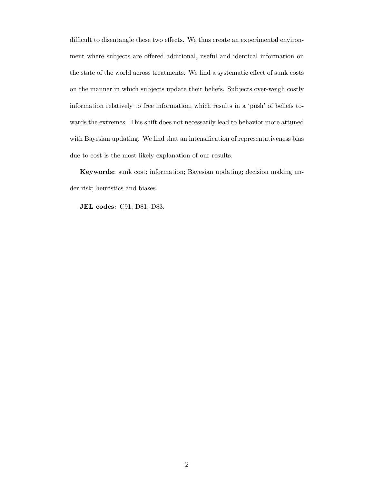difficult to disentangle these two effects. We thus create an experimental environment where subjects are offered additional, useful and identical information on the state of the world across treatments. We find a systematic effect of sunk costs on the manner in which subjects update their beliefs. Subjects over-weigh costly information relatively to free information, which results in a 'push' of beliefs towards the extremes. This shift does not necessarily lead to behavior more attuned with Bayesian updating. We find that an intensification of representativeness bias due to cost is the most likely explanation of our results.

Keywords: sunk cost; information; Bayesian updating; decision making under risk; heuristics and biases.

JEL codes: C91; D81; D83.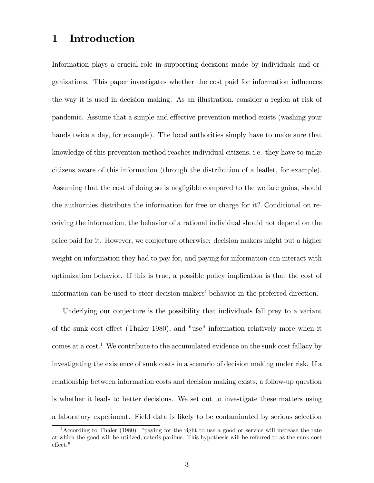## 1 Introduction

Information plays a crucial role in supporting decisions made by individuals and organizations. This paper investigates whether the cost paid for information ináuences the way it is used in decision making. As an illustration, consider a region at risk of pandemic. Assume that a simple and effective prevention method exists (washing your hands twice a day, for example). The local authorities simply have to make sure that knowledge of this prevention method reaches individual citizens, i.e. they have to make citizens aware of this information (through the distribution of a leaáet, for example). Assuming that the cost of doing so is negligible compared to the welfare gains, should the authorities distribute the information for free or charge for it? Conditional on receiving the information, the behavior of a rational individual should not depend on the price paid for it. However, we conjecture otherwise: decision makers might put a higher weight on information they had to pay for, and paying for information can interact with optimization behavior. If this is true, a possible policy implication is that the cost of information can be used to steer decision makers' behavior in the preferred direction.

Underlying our conjecture is the possibility that individuals fall prey to a variant of the sunk cost effect (Thaler 1980), and "use" information relatively more when it comes at a  $cost<sup>1</sup>$ . We contribute to the accumulated evidence on the sunk cost fallacy by investigating the existence of sunk costs in a scenario of decision making under risk. If a relationship between information costs and decision making exists, a follow-up question is whether it leads to better decisions. We set out to investigate these matters using a laboratory experiment. Field data is likely to be contaminated by serious selection

<sup>1</sup>According to Thaler (1980): "paying for the right to use a good or service will increase the rate at which the good will be utilized, ceteris paribus. This hypothesis will be referred to as the sunk cost effect."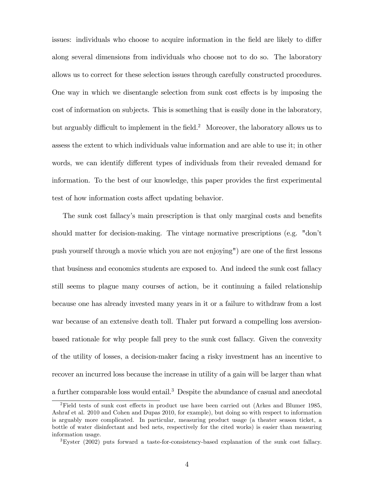issues: individuals who choose to acquire information in the field are likely to differ along several dimensions from individuals who choose not to do so. The laboratory allows us to correct for these selection issues through carefully constructed procedures. One way in which we disentangle selection from sunk cost effects is by imposing the cost of information on subjects. This is something that is easily done in the laboratory, but arguably difficult to implement in the field.<sup>2</sup> Moreover, the laboratory allows us to assess the extent to which individuals value information and are able to use it; in other words, we can identify different types of individuals from their revealed demand for information. To the best of our knowledge, this paper provides the first experimental test of how information costs affect updating behavior.

The sunk cost fallacy's main prescription is that only marginal costs and benefits should matter for decision-making. The vintage normative prescriptions (e.g. "don't push yourself through a movie which you are not enjoying") are one of the first lessons that business and economics students are exposed to. And indeed the sunk cost fallacy still seems to plague many courses of action, be it continuing a failed relationship because one has already invested many years in it or a failure to withdraw from a lost war because of an extensive death toll. Thaler put forward a compelling loss aversionbased rationale for why people fall prey to the sunk cost fallacy. Given the convexity of the utility of losses, a decision-maker facing a risky investment has an incentive to recover an incurred loss because the increase in utility of a gain will be larger than what a further comparable loss would entail.<sup>3</sup> Despite the abundance of casual and anecdotal

<sup>&</sup>lt;sup>2</sup>Field tests of sunk cost effects in product use have been carried out (Arkes and Blumer 1985, Ashraf et al. 2010 and Cohen and Dupas 2010, for example), but doing so with respect to information is arguably more complicated. In particular, measuring product usage (a theater season ticket, a bottle of water disinfectant and bed nets, respectively for the cited works) is easier than measuring information usage.

<sup>3</sup>Eyster (2002) puts forward a taste-for-consistency-based explanation of the sunk cost fallacy.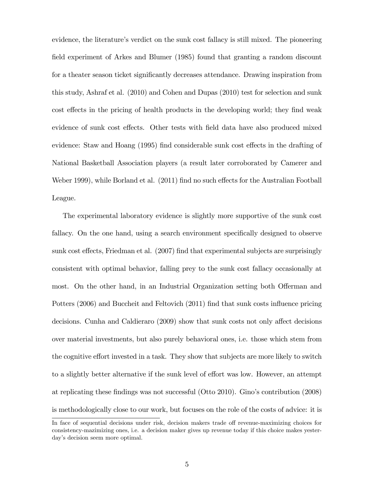evidence, the literature's verdict on the sunk cost fallacy is still mixed. The pioneering field experiment of Arkes and Blumer (1985) found that granting a random discount for a theater season ticket significantly decreases attendance. Drawing inspiration from this study, Ashraf et al. (2010) and Cohen and Dupas (2010) test for selection and sunk cost effects in the pricing of health products in the developing world; they find weak evidence of sunk cost effects. Other tests with field data have also produced mixed evidence: Staw and Hoang (1995) find considerable sunk cost effects in the drafting of National Basketball Association players (a result later corroborated by Camerer and Weber 1999), while Borland et al. (2011) find no such effects for the Australian Football League.

The experimental laboratory evidence is slightly more supportive of the sunk cost fallacy. On the one hand, using a search environment specifically designed to observe sunk cost effects, Friedman et al. (2007) find that experimental subjects are surprisingly consistent with optimal behavior, falling prey to the sunk cost fallacy occasionally at most. On the other hand, in an Industrial Organization setting both Offerman and Potters (2006) and Buccheit and Feltovich (2011) find that sunk costs influence pricing decisions. Cunha and Caldieraro (2009) show that sunk costs not only affect decisions over material investments, but also purely behavioral ones, i.e. those which stem from the cognitive effort invested in a task. They show that subjects are more likely to switch to a slightly better alternative if the sunk level of effort was low. However, an attempt at replicating these findings was not successful (Otto 2010). Gino's contribution (2008) is methodologically close to our work, but focuses on the role of the costs of advice: it is

In face of sequential decisions under risk, decision makers trade off revenue-maximizing choices for consistency-mazimizing ones, i.e. a decision maker gives up revenue today if this choice makes yesterday's decision seem more optimal.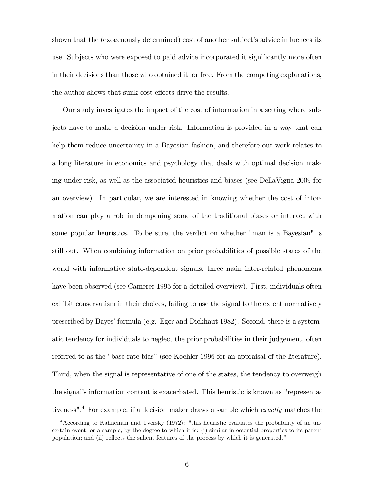shown that the (exogenously determined) cost of another subject's advice influences its use. Subjects who were exposed to paid advice incorporated it significantly more often in their decisions than those who obtained it for free. From the competing explanations, the author shows that sunk cost effects drive the results.

Our study investigates the impact of the cost of information in a setting where subjects have to make a decision under risk. Information is provided in a way that can help them reduce uncertainty in a Bayesian fashion, and therefore our work relates to a long literature in economics and psychology that deals with optimal decision making under risk, as well as the associated heuristics and biases (see DellaVigna 2009 for an overview). In particular, we are interested in knowing whether the cost of information can play a role in dampening some of the traditional biases or interact with some popular heuristics. To be sure, the verdict on whether "man is a Bayesian" is still out. When combining information on prior probabilities of possible states of the world with informative state-dependent signals, three main inter-related phenomena have been observed (see Camerer 1995 for a detailed overview). First, individuals often exhibit conservatism in their choices, failing to use the signal to the extent normatively prescribed by Bayes' formula (e.g. Eger and Dickhaut 1982). Second, there is a systematic tendency for individuals to neglect the prior probabilities in their judgement, often referred to as the "base rate bias" (see Koehler 1996 for an appraisal of the literature). Third, when the signal is representative of one of the states, the tendency to overweigh the signal's information content is exacerbated. This heuristic is known as "representativeness".<sup>4</sup> For example, if a decision maker draws a sample which *exactly* matches the

<sup>4</sup>According to Kahneman and Tversky (1972): "this heuristic evaluates the probability of an uncertain event, or a sample, by the degree to which it is: (i) similar in essential properties to its parent population; and (ii) reflects the salient features of the process by which it is generated."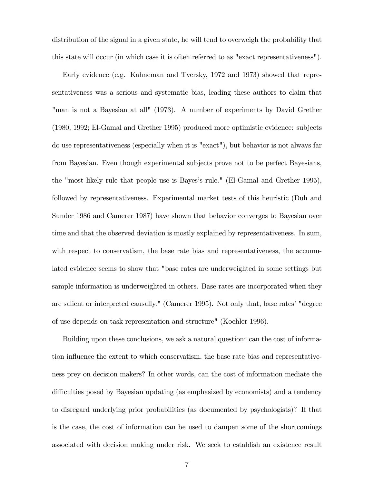distribution of the signal in a given state, he will tend to overweigh the probability that this state will occur (in which case it is often referred to as "exact representativeness").

Early evidence (e.g. Kahneman and Tversky, 1972 and 1973) showed that representativeness was a serious and systematic bias, leading these authors to claim that "man is not a Bayesian at all" (1973). A number of experiments by David Grether (1980, 1992; El-Gamal and Grether 1995) produced more optimistic evidence: subjects do use representativeness (especially when it is "exact"), but behavior is not always far from Bayesian. Even though experimental subjects prove not to be perfect Bayesians, the "most likely rule that people use is Bayes's rule." (El-Gamal and Grether 1995), followed by representativeness. Experimental market tests of this heuristic (Duh and Sunder 1986 and Camerer 1987) have shown that behavior converges to Bayesian over time and that the observed deviation is mostly explained by representativeness. In sum, with respect to conservatism, the base rate bias and representativeness, the accumulated evidence seems to show that "base rates are underweighted in some settings but sample information is underweighted in others. Base rates are incorporated when they are salient or interpreted causally." (Camerer 1995). Not only that, base rates' "degree" of use depends on task representation and structure" (Koehler 1996).

Building upon these conclusions, we ask a natural question: can the cost of information influence the extent to which conservatism, the base rate bias and representativeness prey on decision makers? In other words, can the cost of information mediate the difficulties posed by Bayesian updating (as emphasized by economists) and a tendency to disregard underlying prior probabilities (as documented by psychologists)? If that is the case, the cost of information can be used to dampen some of the shortcomings associated with decision making under risk. We seek to establish an existence result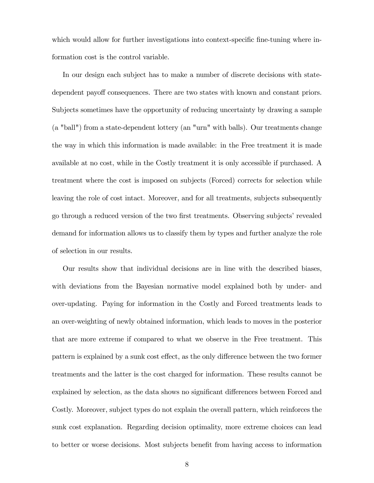which would allow for further investigations into context-specific fine-tuning where information cost is the control variable.

In our design each subject has to make a number of discrete decisions with statedependent payoff consequences. There are two states with known and constant priors. Subjects sometimes have the opportunity of reducing uncertainty by drawing a sample (a "ball") from a state-dependent lottery (an "urn" with balls). Our treatments change the way in which this information is made available: in the Free treatment it is made available at no cost, while in the Costly treatment it is only accessible if purchased. A treatment where the cost is imposed on subjects (Forced) corrects for selection while leaving the role of cost intact. Moreover, and for all treatments, subjects subsequently go through a reduced version of the two first treatments. Observing subjects' revealed demand for information allows us to classify them by types and further analyze the role of selection in our results.

Our results show that individual decisions are in line with the described biases, with deviations from the Bayesian normative model explained both by under- and over-updating. Paying for information in the Costly and Forced treatments leads to an over-weighting of newly obtained information, which leads to moves in the posterior that are more extreme if compared to what we observe in the Free treatment. This pattern is explained by a sunk cost effect, as the only difference between the two former treatments and the latter is the cost charged for information. These results cannot be explained by selection, as the data shows no significant differences between Forced and Costly. Moreover, subject types do not explain the overall pattern, which reinforces the sunk cost explanation. Regarding decision optimality, more extreme choices can lead to better or worse decisions. Most subjects benefit from having access to information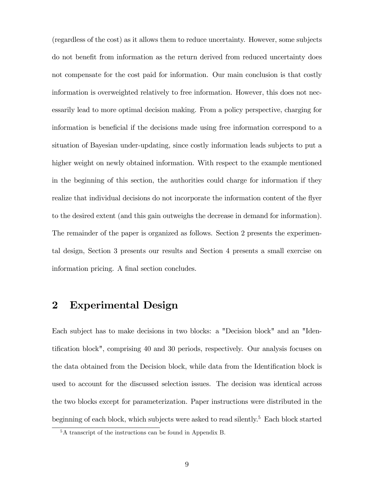(regardless of the cost) as it allows them to reduce uncertainty. However, some subjects do not benefit from information as the return derived from reduced uncertainty does not compensate for the cost paid for information. Our main conclusion is that costly information is overweighted relatively to free information. However, this does not necessarily lead to more optimal decision making. From a policy perspective, charging for information is beneficial if the decisions made using free information correspond to a situation of Bayesian under-updating, since costly information leads subjects to put a higher weight on newly obtained information. With respect to the example mentioned in the beginning of this section, the authorities could charge for information if they realize that individual decisions do not incorporate the information content of the flyer to the desired extent (and this gain outweighs the decrease in demand for information). The remainder of the paper is organized as follows. Section 2 presents the experimental design, Section 3 presents our results and Section 4 presents a small exercise on information pricing. A final section concludes.

## 2 Experimental Design

Each subject has to make decisions in two blocks: a "Decision block" and an "Identification block", comprising 40 and 30 periods, respectively. Our analysis focuses on the data obtained from the Decision block, while data from the Identification block is used to account for the discussed selection issues. The decision was identical across the two blocks except for parameterization. Paper instructions were distributed in the beginning of each block, which subjects were asked to read silently.<sup>5</sup> Each block started

<sup>5</sup>A transcript of the instructions can be found in Appendix B.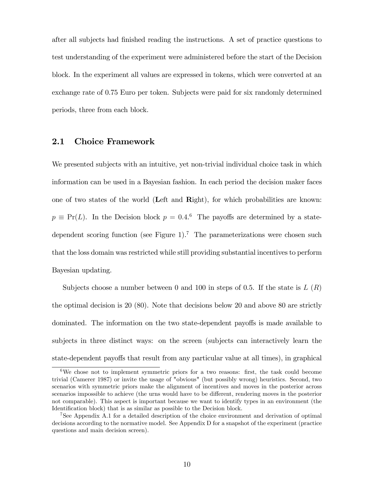after all subjects had Önished reading the instructions. A set of practice questions to test understanding of the experiment were administered before the start of the Decision block. In the experiment all values are expressed in tokens, which were converted at an exchange rate of 0.75 Euro per token. Subjects were paid for six randomly determined periods, three from each block.

#### 2.1 Choice Framework

We presented subjects with an intuitive, yet non-trivial individual choice task in which information can be used in a Bayesian fashion. In each period the decision maker faces one of two states of the world (Left and Right), for which probabilities are known:  $p \equiv Pr(L)$ . In the Decision block  $p = 0.4$ .<sup>6</sup> The payoffs are determined by a statedependent scoring function (see Figure 1).<sup>7</sup> The parameterizations were chosen such that the loss domain was restricted while still providing substantial incentives to perform Bayesian updating.

Subjects choose a number between 0 and 100 in steps of 0.5. If the state is  $L(R)$ the optimal decision is 20 (80). Note that decisions below 20 and above 80 are strictly dominated. The information on the two state-dependent payoffs is made available to subjects in three distinct ways: on the screen (subjects can interactively learn the state-dependent payoffs that result from any particular value at all times), in graphical

 $6\text{We chose not to implement symmetric priors for a two reasons: first, the task could become...}$ trivial (Camerer 1987) or invite the usage of "obvious" (but possibly wrong) heuristics. Second, two scenarios with symmetric priors make the alignment of incentives and moves in the posterior across scenarios impossible to achieve (the urns would have to be different, rendering moves in the posterior not comparable). This aspect is important because we want to identify types in an environment (the Identification block) that is as similar as possible to the Decision block.

<sup>7</sup>See Appendix A.1 for a detailed description of the choice environment and derivation of optimal decisions according to the normative model. See Appendix D for a snapshot of the experiment (practice questions and main decision screen).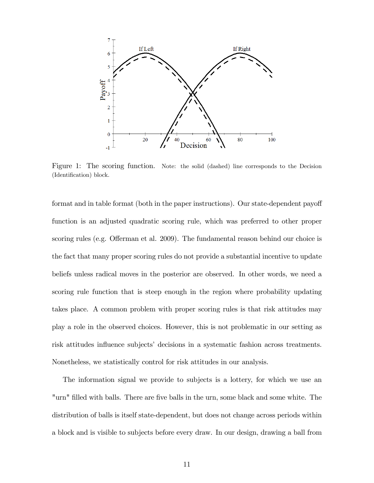

Figure 1: The scoring function. Note: the solid (dashed) line corresponds to the Decision (Identification) block.

format and in table format (both in the paper instructions). Our state-dependent payoff function is an adjusted quadratic scoring rule, which was preferred to other proper scoring rules (e.g. Offerman et al.  $2009$ ). The fundamental reason behind our choice is the fact that many proper scoring rules do not provide a substantial incentive to update beliefs unless radical moves in the posterior are observed. In other words, we need a scoring rule function that is steep enough in the region where probability updating takes place. A common problem with proper scoring rules is that risk attitudes may play a role in the observed choices. However, this is not problematic in our setting as risk attitudes influence subjects' decisions in a systematic fashion across treatments. Nonetheless, we statistically control for risk attitudes in our analysis.

The information signal we provide to subjects is a lottery, for which we use an "urn" filled with balls. There are five balls in the urn, some black and some white. The distribution of balls is itself state-dependent, but does not change across periods within a block and is visible to subjects before every draw. In our design, drawing a ball from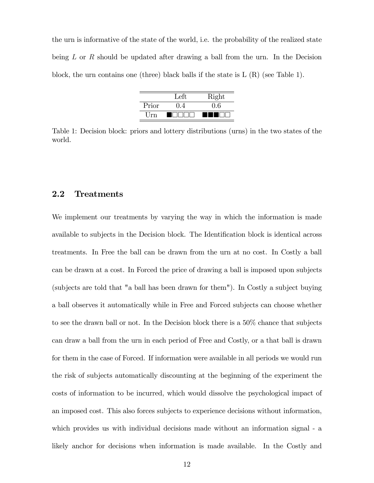the urn is informative of the state of the world, i.e. the probability of the realized state being  $L$  or  $R$  should be updated after drawing a ball from the urn. In the Decision block, the urn contains one (three) black balls if the state is  $L(R)$  (see Table 1).

|       | Left. | Right   |
|-------|-------|---------|
| Prior | (1.4) | $0.6\,$ |
| Urn   |       | - 1     |

Table 1: Decision block: priors and lottery distributions (urns) in the two states of the world.

#### 2.2 Treatments

We implement our treatments by varying the way in which the information is made available to subjects in the Decision block. The Identification block is identical across treatments. In Free the ball can be drawn from the urn at no cost. In Costly a ball can be drawn at a cost. In Forced the price of drawing a ball is imposed upon subjects (subjects are told that "a ball has been drawn for them"). In Costly a subject buying a ball observes it automatically while in Free and Forced subjects can choose whether to see the drawn ball or not. In the Decision block there is a 50% chance that subjects can draw a ball from the urn in each period of Free and Costly, or a that ball is drawn for them in the case of Forced. If information were available in all periods we would run the risk of subjects automatically discounting at the beginning of the experiment the costs of information to be incurred, which would dissolve the psychological impact of an imposed cost. This also forces subjects to experience decisions without information, which provides us with individual decisions made without an information signal - a likely anchor for decisions when information is made available. In the Costly and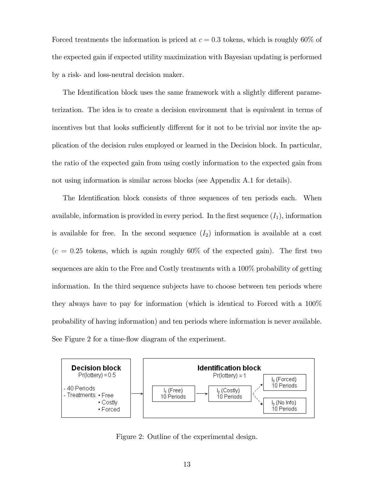Forced treatments the information is priced at  $c = 0.3$  tokens, which is roughly 60% of the expected gain if expected utility maximization with Bayesian updating is performed by a risk- and loss-neutral decision maker.

The Identification block uses the same framework with a slightly different parameterization. The idea is to create a decision environment that is equivalent in terms of incentives but that looks sufficiently different for it not to be trivial nor invite the application of the decision rules employed or learned in the Decision block. In particular, the ratio of the expected gain from using costly information to the expected gain from not using information is similar across blocks (see Appendix A.1 for details).

The Identification block consists of three sequences of ten periods each. When available, information is provided in every period. In the first sequence  $(I_1)$ , information is available for free. In the second sequence  $(I_2)$  information is available at a cost  $(c = 0.25$  tokens, which is again roughly 60% of the expected gain). The first two sequences are akin to the Free and Costly treatments with a 100% probability of getting information. In the third sequence subjects have to choose between ten periods where they always have to pay for information (which is identical to Forced with a 100% probability of having information) and ten periods where information is never available. See Figure 2 for a time-flow diagram of the experiment.



Figure 2: Outline of the experimental design.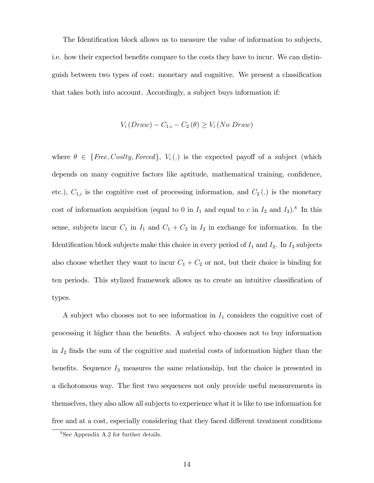The Identification block allows us to measure the value of information to subjects, i.e. how their expected benefits compare to the costs they have to incur. We can distinguish between two types of cost: monetary and cognitive. We present a classification that takes both into account. Accordingly, a subject buys information if:

$$
V_i(Draw) - C_{1,i} - C_2(\theta) \ge V_i(No\ Draw)
$$

where  $\theta \in \{Free, Costty, Forced\}, V_i(.)$  is the expected payoff of a subject (which depends on many cognitive factors like aptitude, mathematical training, confidence, etc.),  $C_{1,i}$  is the cognitive cost of processing information, and  $C_2(.)$  is the monetary cost of information acquisition (equal to 0 in  $I_1$  and equal to c in  $I_2$  and  $I_3$ ).<sup>8</sup> In this sense, subjects incur  $C_1$  in  $I_1$  and  $C_1 + C_2$  in  $I_2$  in exchange for information. In the Identification block subjects make this choice in every period of  $I_1$  and  $I_2$ . In  $I_3$  subjects also choose whether they want to incur  $C_1 + C_2$  or not, but their choice is binding for ten periods. This stylized framework allows us to create an intuitive classification of types.

A subject who chooses not to see information in  $I_1$  considers the cognitive cost of processing it higher than the benefits. A subject who chooses not to buy information in  $I_2$  finds the sum of the cognitive and material costs of information higher than the benefits. Sequence  $I_3$  measures the same relationship, but the choice is presented in a dichotomous way. The first two sequences not only provide useful measurements in themselves, they also allow all subjects to experience what it is like to use information for free and at a cost, especially considering that they faced different treatment conditions

<sup>8</sup>See Appendix A.2 for further details.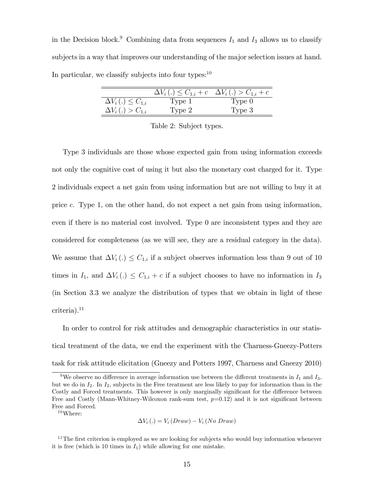in the Decision block.<sup>9</sup> Combining data from sequences  $I_1$  and  $I_3$  allows us to classify subjects in a way that improves our understanding of the major selection issues at hand. In particular, we classify subjects into four types: $10$ 

|                              |        | $\Delta V_i(.) \leq C_{1,i} + c \Delta V_i(.) > C_{1,i} + c$ |
|------------------------------|--------|--------------------------------------------------------------|
| $\Delta V_i(.) \leq C_{1,i}$ | Type 1 | Type 0                                                       |
| $\Delta V_i(.) > C_{1,i}$    | Type 2 | Type 3                                                       |

Table 2: Subject types.

Type 3 individuals are those whose expected gain from using information exceeds not only the cognitive cost of using it but also the monetary cost charged for it. Type 2 individuals expect a net gain from using information but are not willing to buy it at price c. Type 1, on the other hand, do not expect a net gain from using information, even if there is no material cost involved. Type 0 are inconsistent types and they are considered for completeness (as we will see, they are a residual category in the data). We assume that  $\Delta V_i(.) \leq C_{1,i}$  if a subject observes information less than 9 out of 10 times in  $I_1$ , and  $\Delta V_i(.) \leq C_{1,i} + c$  if a subject chooses to have no information in  $I_3$ (in Section 3.3 we analyze the distribution of types that we obtain in light of these  $\alpha$ criteria).<sup>11</sup>

In order to control for risk attitudes and demographic characteristics in our statistical treatment of the data, we end the experiment with the Charness-Gneezy-Potters task for risk attitude elicitation (Gneezy and Potters 1997, Charness and Gneezy 2010)

<sup>10</sup>Where:

$$
\Delta V_i(.) = V_i(Draw) - V_i(No\ Draw)
$$

<sup>&</sup>lt;sup>9</sup>We observe no difference in average information use between the different treatments in  $I_1$  and  $I_3$ , but we do in  $I_2$ . In  $I_2$ , subjects in the Free treatment are less likely to pay for information than in the Costly and Forced treatments. This however is only marginally significant for the difference between Free and Costly (Mann-Whitney-Wilcoxon rank-sum test,  $p=0.12$ ) and it is not significant between Free and Forced.

 $11$ The first criterion is employed as we are looking for subjects who would buy information whenever it is free (which is 10 times in  $I_1$ ) while allowing for one mistake.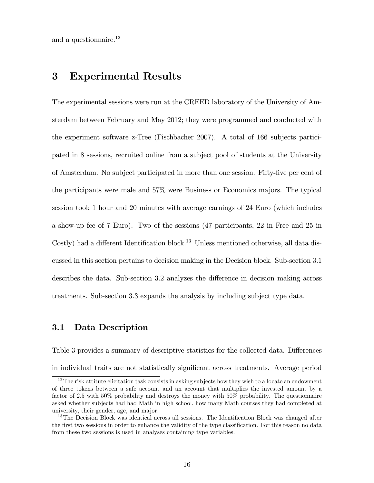and a questionnaire.<sup>12</sup>

### 3 Experimental Results

The experimental sessions were run at the CREED laboratory of the University of Amsterdam between February and May 2012; they were programmed and conducted with the experiment software z-Tree (Fischbacher 2007). A total of 166 subjects participated in 8 sessions, recruited online from a subject pool of students at the University of Amsterdam. No subject participated in more than one session. Fifty-five per cent of the participants were male and 57% were Business or Economics majors. The typical session took 1 hour and 20 minutes with average earnings of 24 Euro (which includes a show-up fee of 7 Euro). Two of the sessions (47 participants, 22 in Free and 25 in Costly) had a different Identification block.<sup>13</sup> Unless mentioned otherwise, all data discussed in this section pertains to decision making in the Decision block. Sub-section 3.1 describes the data. Sub-section 3.2 analyzes the difference in decision making across treatments. Sub-section 3.3 expands the analysis by including subject type data.

#### 3.1 Data Description

Table 3 provides a summary of descriptive statistics for the collected data. Differences in individual traits are not statistically significant across treatments. Average period

<sup>&</sup>lt;sup>12</sup>The risk attitute elicitation task consists in asking subjects how they wish to allocate an endowment of three tokens between a safe account and an account that multiplies the invested amount by a factor of 2.5 with 50% probability and destroys the money with 50% probability. The questionnaire asked whether subjects had had Math in high school, how many Math courses they had completed at university, their gender, age, and major.

<sup>&</sup>lt;sup>13</sup>The Decision Block was identical across all sessions. The Identification Block was changed after the first two sessions in order to enhance the validity of the type classification. For this reason no data from these two sessions is used in analyses containing type variables.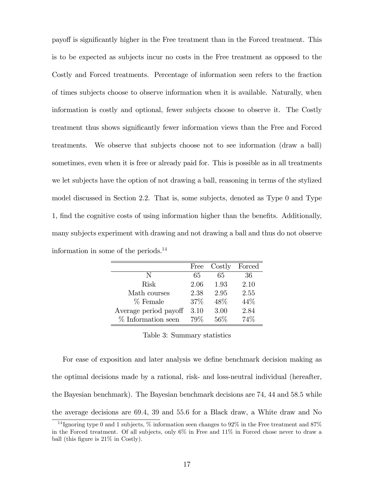payo§ is signiÖcantly higher in the Free treatment than in the Forced treatment. This is to be expected as subjects incur no costs in the Free treatment as opposed to the Costly and Forced treatments. Percentage of information seen refers to the fraction of times subjects choose to observe information when it is available. Naturally, when information is costly and optional, fewer subjects choose to observe it. The Costly treatment thus shows significantly fewer information views than the Free and Forced treatments. We observe that subjects choose not to see information (draw a ball) sometimes, even when it is free or already paid for. This is possible as in all treatments we let subjects have the option of not drawing a ball, reasoning in terms of the stylized model discussed in Section 2.2. That is, some subjects, denoted as Type 0 and Type 1, find the cognitive costs of using information higher than the benefits. Additionally, many subjects experiment with drawing and not drawing a ball and thus do not observe information in some of the periods.<sup>14</sup>

|                       | Free | Costly | Forced |
|-----------------------|------|--------|--------|
| N                     | 65   | 65     | 36     |
| Risk                  | 2.06 | 1.93   | 2.10   |
| Math courses          | 2.38 | 2.95   | 2.55   |
| $%$ Female            | 37\% | 48\%   | 44\%   |
| Average period payoff | 3.10 | 3.00   | 2.84   |
| $%$ Information seen  | 79\% | 56\%   | 74\%   |

Table 3: Summary statistics

For ease of exposition and later analysis we define benchmark decision making as the optimal decisions made by a rational, risk- and loss-neutral individual (hereafter, the Bayesian benchmark). The Bayesian benchmark decisions are 74, 44 and 58:5 while the average decisions are 69.4, 39 and 55.6 for a Black draw, a White draw and No

<sup>&</sup>lt;sup>14</sup> Ignoring type 0 and 1 subjects,  $\%$  information seen changes to 92% in the Free treatment and 87% in the Forced treatment. Of all subjects, only 6% in Free and 11% in Forced chose never to draw a ball (this figure is  $21\%$  in Costly).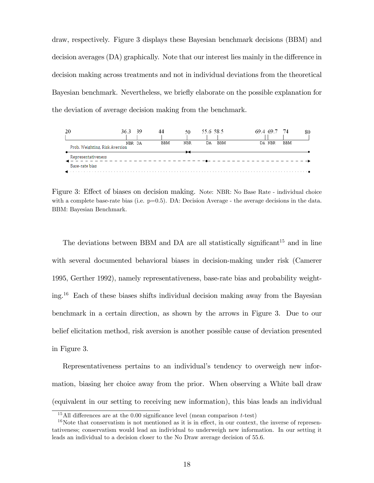draw, respectively. Figure 3 displays these Bayesian benchmark decisions (BBM) and decision averages (DA) graphically. Note that our interest lies mainly in the difference in decision making across treatments and not in individual deviations from the theoretical Bayesian benchmark. Nevertheless, we brieáy elaborate on the possible explanation for the deviation of average decision making from the benchmark.



Figure 3: Effect of biases on decision making. Note: NBR: No Base Rate - individual choice with a complete base-rate bias (i.e.  $p=0.5$ ). DA: Decision Average - the average decisions in the data. BBM: Bayesian Benchmark.

The deviations between BBM and DA are all statistically significant<sup>15</sup> and in line with several documented behavioral biases in decision-making under risk (Camerer 1995, Gerther 1992), namely representativeness, base-rate bias and probability weighting.<sup>16</sup> Each of these biases shifts individual decision making away from the Bayesian benchmark in a certain direction, as shown by the arrows in Figure 3. Due to our belief elicitation method, risk aversion is another possible cause of deviation presented in Figure 3.

Representativeness pertains to an individual's tendency to overweigh new information, biasing her choice away from the prior. When observing a White ball draw (equivalent in our setting to receiving new information), this bias leads an individual

<sup>&</sup>lt;sup>15</sup>All differences are at the 0.00 significance level (mean comparison *t*-test)

 $16$ Note that conservatism is not mentioned as it is in effect, in our context, the inverse of representativeness; conservatism would lead an individual to underweigh new information. In our setting it leads an individual to a decision closer to the No Draw average decision of 55:6.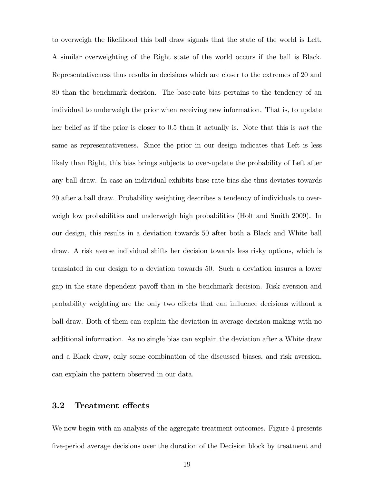to overweigh the likelihood this ball draw signals that the state of the world is Left. A similar overweighting of the Right state of the world occurs if the ball is Black. Representativeness thus results in decisions which are closer to the extremes of 20 and 80 than the benchmark decision. The base-rate bias pertains to the tendency of an individual to underweigh the prior when receiving new information. That is, to update her belief as if the prior is closer to 0.5 than it actually is. Note that this is not the same as representativeness. Since the prior in our design indicates that Left is less likely than Right, this bias brings subjects to over-update the probability of Left after any ball draw. In case an individual exhibits base rate bias she thus deviates towards 20 after a ball draw. Probability weighting describes a tendency of individuals to overweigh low probabilities and underweigh high probabilities (Holt and Smith 2009). In our design, this results in a deviation towards 50 after both a Black and White ball draw. A risk averse individual shifts her decision towards less risky options, which is translated in our design to a deviation towards 50. Such a deviation insures a lower gap in the state dependent payoff than in the benchmark decision. Risk aversion and probability weighting are the only two effects that can influence decisions without a ball draw. Both of them can explain the deviation in average decision making with no additional information. As no single bias can explain the deviation after a White draw and a Black draw, only some combination of the discussed biases, and risk aversion, can explain the pattern observed in our data.

#### 3.2 Treatment effects

We now begin with an analysis of the aggregate treatment outcomes. Figure 4 presents five-period average decisions over the duration of the Decision block by treatment and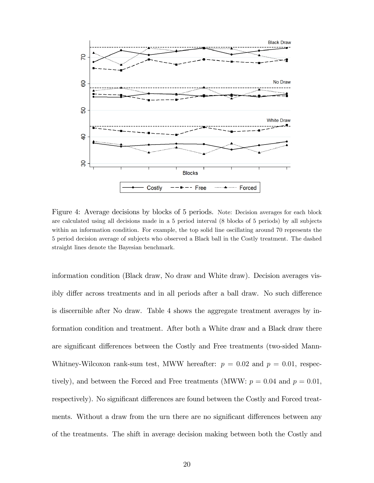

Figure 4: Average decisions by blocks of 5 periods. Note: Decision averages for each block are calculated using all decisions made in a 5 period interval (8 blocks of 5 periods) by all subjects within an information condition. For example, the top solid line oscillating around 70 represents the 5 period decision average of subjects who observed a Black ball in the Costly treatment. The dashed straight lines denote the Bayesian benchmark.

information condition (Black draw, No draw and White draw). Decision averages visibly differ across treatments and in all periods after a ball draw. No such difference is discernible after No draw. Table 4 shows the aggregate treatment averages by information condition and treatment. After both a White draw and a Black draw there are significant differences between the Costly and Free treatments (two-sided Mann-Whitney-Wilcoxon rank-sum test, MWW hereafter:  $p = 0.02$  and  $p = 0.01$ , respectively), and between the Forced and Free treatments (MWW:  $p = 0.04$  and  $p = 0.01$ , respectively). No significant differences are found between the Costly and Forced treatments. Without a draw from the urn there are no significant differences between any of the treatments. The shift in average decision making between both the Costly and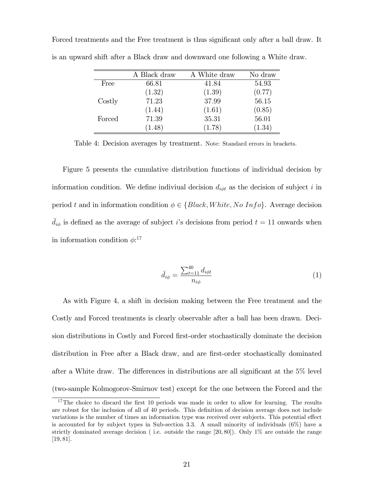|        | A Black draw | A White draw | No draw |
|--------|--------------|--------------|---------|
| Free   | 66.81        | 41.84        | 54.93   |
|        | (1.32)       | (1.39)       | (0.77)  |
| Costly | 71.23        | 37.99        | 56.15   |
|        | (1.44)       | (1.61)       | (0.85)  |
| Forced | 71.39        | 35.31        | 56.01   |
|        | (1.48)       | (1.78)       | (1.34)  |

Forced treatments and the Free treatment is thus significant only after a ball draw. It is an upward shift after a Black draw and downward one following a White draw.

Table 4: Decision averages by treatment. Note: Standard errors in brackets.

Figure 5 presents the cumulative distribution functions of individual decision by information condition. We define indiviual decision  $d_{i\phi t}$  as the decision of subject i in period t and in information condition  $\phi \in \{Black, White, NoInfo\}$ . Average decision  $\bar{d}_{i\phi}$  is defined as the average of subject i's decisions from period  $t = 11$  onwards when in information condition  $\phi$ :<sup>17</sup>

$$
\bar{d}_{i\phi} = \frac{\sum_{t=11}^{40} d_{i\phi t}}{n_{i\phi}}
$$
 (1)

As with Figure 4, a shift in decision making between the Free treatment and the Costly and Forced treatments is clearly observable after a ball has been drawn. Decision distributions in Costly and Forced first-order stochastically dominate the decision distribution in Free after a Black draw, and are first-order stochastically dominated after a White draw. The differences in distributions are all significant at the  $5\%$  level (two-sample Kolmogorov-Smirnov test) except for the one between the Forced and the

 $17$ The choice to discard the first 10 periods was made in order to allow for learning. The results are robust for the inclusion of all of 40 periods. This definition of decision average does not include variations is the number of times an information type was received over subjects. This potential effect is accounted for by subject types in Sub-section 3.3. A small minority of individuals (6%) have a strictly dominated average decision (i.e. outside the range  $[20, 80]$ ). Only  $1\%$  are outside the range  $[19, 81]$ .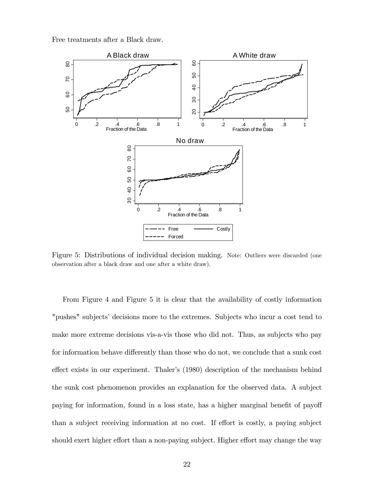Free treatments after a Black draw.



Figure 5: Distributions of individual decision making. Note: Outliers were discarded (one observation after a black draw and one after a white draw).

From Figure 4 and Figure 5 it is clear that the availability of costly information "pushes" subjects' decisions more to the extremes. Subjects who incur a cost tend to make more extreme decisions vis-a-vis those who did not. Thus, as subjects who pay for information behave differently than those who do not, we conclude that a sunk cost effect exists in our experiment. Thaler's (1980) description of the mechanism behind the sunk cost phenomenon provides an explanation for the observed data. A subject paying for information, found in a loss state, has a higher marginal benefit of payoff than a subject receiving information at no cost. If effort is costly, a paying subject should exert higher effort than a non-paying subject. Higher effort may change the way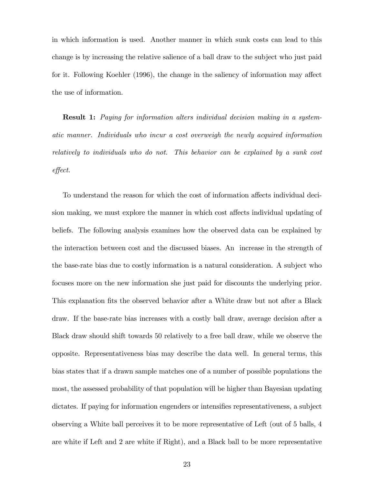in which information is used. Another manner in which sunk costs can lead to this change is by increasing the relative salience of a ball draw to the subject who just paid for it. Following Koehler (1996), the change in the saliency of information may affect the use of information.

**Result 1:** Paying for information alters individual decision making in a systematic manner. Individuals who incur a cost overweigh the newly acquired information relatively to individuals who do not. This behavior can be explained by a sunk cost  $effect.$ 

To understand the reason for which the cost of information affects individual decision making, we must explore the manner in which cost affects individual updating of beliefs. The following analysis examines how the observed data can be explained by the interaction between cost and the discussed biases. An increase in the strength of the base-rate bias due to costly information is a natural consideration. A subject who focuses more on the new information she just paid for discounts the underlying prior. This explanation fits the observed behavior after a White draw but not after a Black draw. If the base-rate bias increases with a costly ball draw, average decision after a Black draw should shift towards 50 relatively to a free ball draw, while we observe the opposite. Representativeness bias may describe the data well. In general terms, this bias states that if a drawn sample matches one of a number of possible populations the most, the assessed probability of that population will be higher than Bayesian updating dictates. If paying for information engenders or intensifies representativeness, a subject observing a White ball perceives it to be more representative of Left (out of 5 balls, 4 are white if Left and 2 are white if Right), and a Black ball to be more representative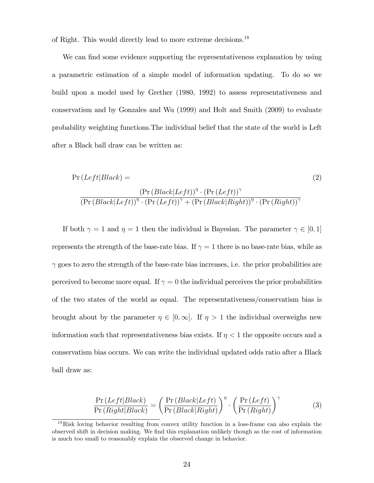of Right. This would directly lead to more extreme decisions.<sup>18</sup>

We can find some evidence supporting the representativeness explanation by using a parametric estimation of a simple model of information updating. To do so we build upon a model used by Grether (1980, 1992) to assess representativeness and conservatism and by Gonzales and Wu (1999) and Holt and Smith (2009) to evaluate probability weighting functions.The individual belief that the state of the world is Left after a Black ball draw can be written as:

$$
Pr (Left|Black) =
$$
\n
$$
\frac{\left(\Pr (Black|Left)\right)^{\eta} \cdot \left(\Pr (Left)\right)^{\gamma}}{\left(\Pr (Black|Left)\right)^{\eta} \cdot \left(\Pr (Black|Right)\right)^{\gamma} + \left(\Pr (Black|Right)\right)^{\eta} \cdot \left(\Pr (Right)\right)^{\gamma}}\right)
$$
\n(2)

If both  $\gamma = 1$  and  $\eta = 1$  then the individual is Bayesian. The parameter  $\gamma \in [0, 1]$ represents the strength of the base-rate bias. If  $\gamma = 1$  there is no base-rate bias, while as  $\gamma$  goes to zero the strength of the base-rate bias increases, i.e. the prior probabilities are perceived to become more equal. If  $\gamma = 0$  the individual perceives the prior probabilities of the two states of the world as equal. The representativeness/conservatism bias is brought about by the parameter  $\eta \in [0,\infty]$ . If  $\eta > 1$  the individual overweighs new information such that representativeness bias exists. If  $\eta < 1$  the opposite occurs and a conservatism bias occurs. We can write the individual updated odds ratio after a Black ball draw as:

$$
\frac{\Pr\left(Left|Black\right)}{\Pr\left(Right|Black\right)} = \left(\frac{\Pr\left(Black|Left\right)}{\Pr\left(Black|Right\right)}\right)^{\eta} \cdot \left(\frac{\Pr\left(Left\right)}{\Pr\left(Right\right)}\right)^{\gamma} \tag{3}
$$

<sup>&</sup>lt;sup>18</sup>Risk loving behavior resulting from convex utility function in a loss-frame can also explain the observed shift in decision making. We Önd this explanation unlikely though as the cost of information is much too small to reasonably explain the observed change in behavior.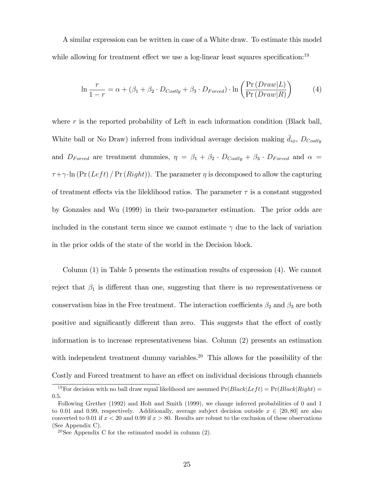A similar expression can be written in case of a White draw. To estimate this model while allowing for treatment effect we use a log-linear least squares specification:<sup>19</sup>

$$
\ln \frac{r}{1-r} = \alpha + (\beta_1 + \beta_2 \cdot D_{Costly} + \beta_3 \cdot D_{Force}) \cdot \ln \left( \frac{\Pr(Draw|L)}{\Pr(Draw|R)} \right)
$$
(4)

where  $r$  is the reported probability of Left in each information condition (Black ball, White ball or No Draw) inferred from individual average decision making  $\bar{d}_{i\phi}$ ,  $D_{Costly}$ and  $D_{Fored}$  are treatment dummies,  $\eta = \beta_1 + \beta_2 \cdot D_{Costly} + \beta_3 \cdot D_{Forced}$  and  $\alpha =$  $\tau + \gamma \cdot \ln (\Pr(Left) / \Pr(Right))$ . The parameter  $\eta$  is decomposed to allow the capturing of treatment effects via the lileklihood ratios. The parameter  $\tau$  is a constant suggested by Gonzales and Wu (1999) in their two-parameter estimation. The prior odds are included in the constant term since we cannot estimate  $\gamma$  due to the lack of variation in the prior odds of the state of the world in the Decision block.

Column (1) in Table 5 presents the estimation results of expression (4). We cannot reject that  $\beta_1$  is different than one, suggesting that there is no representativeness or conservatism bias in the Free treatment. The interaction coefficients  $\beta_2$  and  $\beta_3$  are both positive and significantly different than zero. This suggests that the effect of costly information is to increase representativeness bias. Column (2) presents an estimation with independent treatment dummy variables.<sup>20</sup> This allows for the possibility of the Costly and Forced treatment to have an effect on individual decisions through channels

<sup>&</sup>lt;sup>19</sup>For decision with no ball draw equal likelihood are assumed  $Pr(Black|Left) = Pr(Black|Right)$ 0:5.

Following Grether (1992) and Holt and Smith (1999), we change inferred probabilities of 0 and 1 to 0.01 and 0.99, respectively. Additionally, average subject decision outside  $x \in [20, 80]$  are also converted to 0.01 if  $x < 20$  and 0.99 if  $x > 80$ . Results are robust to the exclusion of these observations (See Appendix C).

<sup>&</sup>lt;sup>20</sup>See Appendix C for the estimated model in column  $(2)$ .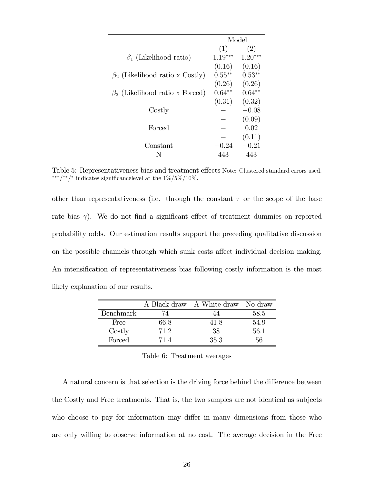|                                       |           | Model     |
|---------------------------------------|-----------|-----------|
|                                       | 1         | (2)       |
| $\beta_1$ (Likelihood ratio)          | $1.19***$ | $1.20***$ |
|                                       | (0.16)    | (0.16)    |
| $\beta_2$ (Likelihood ratio x Costly) | $0.55***$ | $0.53**$  |
|                                       | (0.26)    | (0.26)    |
| $\beta_3$ (Likelihood ratio x Forced) | $0.64**$  | $0.64***$ |
|                                       | (0.31)    | (0.32)    |
| Costly                                |           | $-0.08$   |
|                                       |           | (0.09)    |
| Forced                                |           | 0.02      |
|                                       |           | (0.11)    |
| Constant                              | $-0.24\,$ | $-0.21\,$ |
| N                                     | 443       | 443       |

Table 5: Representativeness bias and treatment effects Note: Clustered standard errors used. \*\*\*/\*\*/\* indicates significancelevel at the  $1\%/5\%/10\%.$ 

other than representativeness (i.e. through the constant  $\tau$  or the scope of the base rate bias  $\gamma$ ). We do not find a significant effect of treatment dummies on reported probability odds. Our estimation results support the preceding qualitative discussion on the possible channels through which sunk costs affect individual decision making. An intensification of representativeness bias following costly information is the most likely explanation of our results.

|                  |      | A Black draw A White draw No draw |      |
|------------------|------|-----------------------------------|------|
| <b>Benchmark</b> | 74   | 44                                | 58.5 |
| Free             | 66.8 | 41.8                              | 54.9 |
| Costly           | 71.2 | 38                                | 56.1 |
| Forced           | 714  | 35.3                              | 56   |

Table 6: Treatment averages

A natural concern is that selection is the driving force behind the difference between the Costly and Free treatments. That is, the two samples are not identical as subjects who choose to pay for information may differ in many dimensions from those who are only willing to observe information at no cost. The average decision in the Free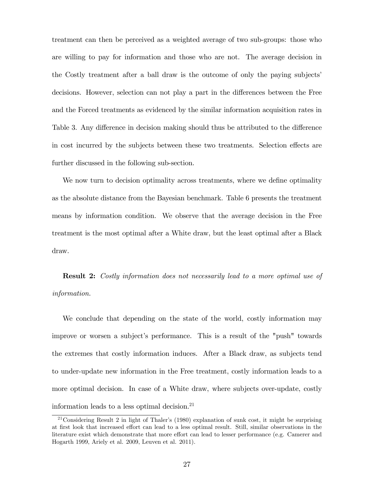treatment can then be perceived as a weighted average of two sub-groups: those who are willing to pay for information and those who are not. The average decision in the Costly treatment after a ball draw is the outcome of only the paying subjects' decisions. However, selection can not play a part in the differences between the Free and the Forced treatments as evidenced by the similar information acquisition rates in Table 3. Any difference in decision making should thus be attributed to the difference in cost incurred by the subjects between these two treatments. Selection effects are further discussed in the following sub-section.

We now turn to decision optimality across treatments, where we define optimality as the absolute distance from the Bayesian benchmark. Table 6 presents the treatment means by information condition. We observe that the average decision in the Free treatment is the most optimal after a White draw, but the least optimal after a Black draw.

Result 2: Costly information does not necessarily lead to a more optimal use of information.

We conclude that depending on the state of the world, costly information may improve or worsen a subject's performance. This is a result of the "push" towards the extremes that costly information induces. After a Black draw, as subjects tend to under-update new information in the Free treatment, costly information leads to a more optimal decision. In case of a White draw, where subjects over-update, costly information leads to a less optimal decision. $^{21}$ 

 $21$ Considering Result 2 in light of Thaler's (1980) explanation of sunk cost, it might be surprising at first look that increased effort can lead to a less optimal result. Still, similar observations in the literature exist which demonstrate that more effort can lead to lesser performance (e.g. Camerer and Hogarth 1999, Ariely et al. 2009, Leuven et al. 2011).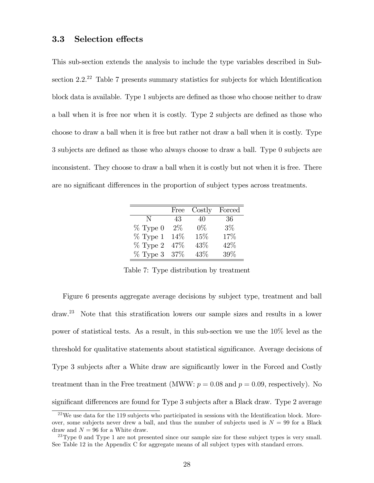#### 3.3 Selection effects

This sub-section extends the analysis to include the type variables described in Subsection  $2.2^{22}$  Table 7 presents summary statistics for subjects for which Identification block data is available. Type 1 subjects are defined as those who choose neither to draw a ball when it is free nor when it is costly. Type 2 subjects are defined as those who choose to draw a ball when it is free but rather not draw a ball when it is costly. Type 3 subjects are defined as those who always choose to draw a ball. Type 0 subjects are inconsistent. They choose to draw a ball when it is costly but not when it is free. There are no significant differences in the proportion of subject types across treatments.

|            | Free   | Costly | Forced |
|------------|--------|--------|--------|
| N          | 43     | 40     | 36     |
| $%$ Type 0 | $2\%$  | $0\%$  | $3\%$  |
| $%$ Type 1 | 14\%   | 15%    | 17%    |
| $%$ Type 2 | 47%    | 43\%   | 42\%   |
| $%$ Type 3 | $37\%$ | 43%    | 39%    |

Table 7: Type distribution by treatment

Figure 6 presents aggregate average decisions by subject type, treatment and ball draw.<sup>23</sup> Note that this stratification lowers our sample sizes and results in a lower power of statistical tests. As a result, in this sub-section we use the 10% level as the threshold for qualitative statements about statistical significance. Average decisions of Type 3 subjects after a White draw are significantly lower in the Forced and Costly treatment than in the Free treatment (MWW:  $p = 0.08$  and  $p = 0.09$ , respectively). No significant differences are found for Type 3 subjects after a Black draw. Type 2 average

 $^{22}$ We use data for the 119 subjects who participated in sessions with the Identification block. Moreover, some subjects never drew a ball, and thus the number of subjects used is  $N = 99$  for a Black draw and  $N = 96$  for a White draw.

 $^{23}$ Type 0 and Type 1 are not presented since our sample size for these subject types is very small. See Table 12 in the Appendix C for aggregate means of all subject types with standard errors.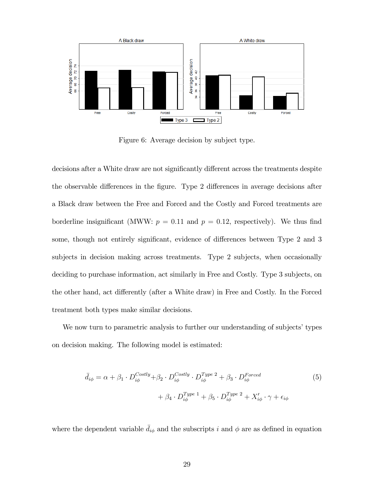

Figure 6: Average decision by subject type.

decisions after a White draw are not significantly different across the treatments despite the observable differences in the figure. Type 2 differences in average decisions after a Black draw between the Free and Forced and the Costly and Forced treatments are borderline insignificant (MWW:  $p = 0.11$  and  $p = 0.12$ , respectively). We thus find some, though not entirely significant, evidence of differences between Type 2 and 3 subjects in decision making across treatments. Type 2 subjects, when occasionally deciding to purchase information, act similarly in Free and Costly. Type 3 subjects, on the other hand, act differently (after a White draw) in Free and Costly. In the Forced treatment both types make similar decisions.

We now turn to parametric analysis to further our understanding of subjects' types on decision making. The following model is estimated:

$$
\bar{d}_{i\phi} = \alpha + \beta_1 \cdot D_{i\phi}^{Costly} + \beta_2 \cdot D_{i\phi}^{Costly} \cdot D_{i\phi}^{Type\ 2} + \beta_3 \cdot D_{i\phi}^{Forced} \tag{5}
$$
\n
$$
+ \beta_4 \cdot D_{i\phi}^{Type\ 1} + \beta_5 \cdot D_{i\phi}^{Type\ 2} + X_{i\phi}' \cdot \gamma + \epsilon_{i\phi}
$$

where the dependent variable  $d_{i\phi}$  and the subscripts i and  $\phi$  are as defined in equation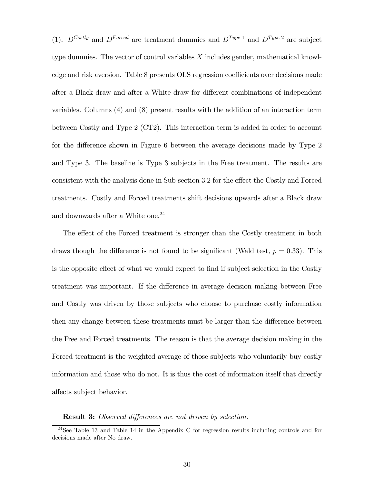(1).  $D^{Costly}$  and  $D^{Forced}$  are treatment dummies and  $D^{Type 1}$  and  $D^{Type 2}$  are subject type dummies. The vector of control variables  $X$  includes gender, mathematical knowledge and risk aversion. Table 8 presents OLS regression coefficients over decisions made after a Black draw and after a White draw for different combinations of independent variables. Columns (4) and (8) present results with the addition of an interaction term between Costly and Type 2 (CT2). This interaction term is added in order to account for the difference shown in Figure 6 between the average decisions made by Type 2 and Type 3. The baseline is Type 3 subjects in the Free treatment. The results are consistent with the analysis done in Sub-section 3.2 for the effect the Costly and Forced treatments. Costly and Forced treatments shift decisions upwards after a Black draw and downwards after a White one.<sup>24</sup>

The effect of the Forced treatment is stronger than the Costly treatment in both draws though the difference is not found to be significant (Wald test,  $p = 0.33$ ). This is the opposite effect of what we would expect to find if subject selection in the Costly treatment was important. If the difference in average decision making between Free and Costly was driven by those subjects who choose to purchase costly information then any change between these treatments must be larger than the difference between the Free and Forced treatments. The reason is that the average decision making in the Forced treatment is the weighted average of those subjects who voluntarily buy costly information and those who do not. It is thus the cost of information itself that directly affects subject behavior.

#### **Result 3:** Observed differences are not driven by selection.

<sup>&</sup>lt;sup>24</sup>See Table 13 and Table 14 in the Appendix C for regression results including controls and for decisions made after No draw.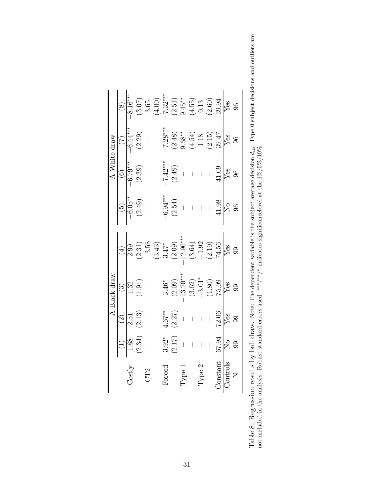|                                               | $\circledS$                  | $-8.16***$       | $\begin{array}{l} (3.07)\\ 3.65\\ (4.00)\\ (2.51)\\ (2.51)\\ (3.45^{**}\\ (4.55)\\ (1.32^{**}\\ (4.55)\\ (2.60)\\ (2.60)\\ (3.94 \end{array}$                                                                                                                                                                                                 |                 |             |        |                                                                                                               |                 |                                                                                         |        |        |                  | $\operatorname{Yes}$                                          | $96\,$ |
|-----------------------------------------------|------------------------------|------------------|-----------------------------------------------------------------------------------------------------------------------------------------------------------------------------------------------------------------------------------------------------------------------------------------------------------------------------------------------|-----------------|-------------|--------|---------------------------------------------------------------------------------------------------------------|-----------------|-----------------------------------------------------------------------------------------|--------|--------|------------------|---------------------------------------------------------------|--------|
|                                               | $\widetilde{C}$              |                  | $-6.44***$<br>$(2.29)$<br>$-7.28***$                                                                                                                                                                                                                                                                                                          |                 |             |        |                                                                                                               |                 | $\begin{array}{c} (2.48) \\ 9.68^{**} \\ (4.54) \\ 1.18 \\ (2.15) \\ 39.47 \end{array}$ |        |        |                  | $\sqrt{\gamma}$                                               | 96     |
| A White $\frac{\mathrm{draw}}{\mathrm{draw}}$ |                              |                  | $\frac{1}{10}$<br>$\frac{1}{10}$<br>$\frac{1}{10}$<br>$\frac{1}{10}$<br>$\frac{1}{10}$<br>$\frac{1}{10}$<br>$\frac{1}{10}$<br>$\frac{1}{10}$<br>$\frac{1}{10}$<br>$\frac{1}{10}$<br>$\frac{1}{10}$<br>$\frac{1}{10}$<br>$\frac{1}{10}$<br>$\frac{1}{10}$<br>$\frac{1}{10}$<br>$\frac{1}{10}$<br>$\frac{1}{10}$<br>$\frac{1}{10}$<br>$\frac{1$ |                 |             |        |                                                                                                               |                 |                                                                                         |        |        |                  | $\sqrt{\frac{\text{Ves}}{96}}$                                |        |
|                                               |                              |                  | $\frac{(5)}{(-6.05)}$<br>$(-2.49)$<br>$-6.94$<br>$-6.94$<br>$-1$<br>$(-1)$<br>$(-1)$<br>$(-1)$<br>$(-1)$<br>$(-1)$<br>$(-1)$<br>$(-1)$<br>$(-1)$<br>$(-1)$<br>$(-1)$<br>$(-1)$<br>$(-1)$<br>$(-1)$                                                                                                                                            |                 |             |        |                                                                                                               |                 |                                                                                         |        |        |                  | $\sqrt{2}$                                                    | 96     |
|                                               | $\left( \frac{4}{5} \right)$ | $\frac{2.99}{2}$ | $(2.31)$<br>$-3.58$<br>$(3.43)$<br>$3.47^*$<br>$(2.09)$<br>$-12.90^{***}$<br>$(3.64)$<br>$(1.92)$<br>$(2.19)$<br>$74.56$                                                                                                                                                                                                                      |                 |             |        |                                                                                                               |                 |                                                                                         |        |        |                  |                                                               | 99     |
| A Black draw                                  | $\odot$                      |                  | $\frac{1.32}{(1.91)}$                                                                                                                                                                                                                                                                                                                         |                 |             |        | $\begin{array}{r} -1 \\ 3.46^* \\ (2.09) \\ -13.20^{***} \\ (3.62) \\ -3.01^* \\ (1.80) \\ 75.09 \end{array}$ |                 |                                                                                         |        |        |                  | $\overline{Y}$ es                                             | 99     |
|                                               | $\widehat{2}$                | 2.51             | (2.13)                                                                                                                                                                                                                                                                                                                                        |                 | $-70.1$     |        | (2.27)                                                                                                        |                 |                                                                                         |        | 111200 |                  | $\operatorname*{Yes}% \left( X\right) \subset\left( X\right)$ | 99     |
|                                               |                              | 88               | .34)<br>$\stackrel{\textstyle\rm{c}}{\simeq}$                                                                                                                                                                                                                                                                                                 | $\mathbf{L}$    | $\mathsf I$ |        | $3.92^*$<br>(2.17)                                                                                            |                 |                                                                                         |        |        |                  | $\zeta$                                                       | 99     |
|                                               |                              | Costly           |                                                                                                                                                                                                                                                                                                                                               | CT <sub>2</sub> |             | Forced |                                                                                                               | ${\rm Type\ 1}$ |                                                                                         | Type 2 |        | Constant $67.94$ | Controls                                                      |        |

| $\ddot{\phantom{0}}$<br>$\overline{a}$                                                                                                                                                                                                                                                                                                                                                                                                                                                                       |                                                                          |
|--------------------------------------------------------------------------------------------------------------------------------------------------------------------------------------------------------------------------------------------------------------------------------------------------------------------------------------------------------------------------------------------------------------------------------------------------------------------------------------------------------------|--------------------------------------------------------------------------|
| 30 <sub>n</sub><br>$\begin{array}{c} \rule{0pt}{2.5ex} \rule{0pt}{2.5ex} \rule{0pt}{2.5ex} \rule{0pt}{2.5ex} \rule{0pt}{2.5ex} \rule{0pt}{2.5ex} \rule{0pt}{2.5ex} \rule{0pt}{2.5ex} \rule{0pt}{2.5ex} \rule{0pt}{2.5ex} \rule{0pt}{2.5ex} \rule{0pt}{2.5ex} \rule{0pt}{2.5ex} \rule{0pt}{2.5ex} \rule{0pt}{2.5ex} \rule{0pt}{2.5ex} \rule{0pt}{2.5ex} \rule{0pt}{2.5ex} \rule{0pt}{2.5ex} \rule{0$<br>י<br>ג<br>Į<br>rached the children code to<br>$\frac{1}{2}$<br>$\frac{1}{2}$<br>;<br><<br><<br>ś<br>į | I<br>$\sim$ $\sim$ $\sim$ $\sim$ $\sim$<br>$\frac{1}{2}$<br>こうしゅう<br>;   |
| $\ddot{\phantom{0}}$<br>֖֖֖֖֚֚֚֚֚֚֚֝֬֝֝<br>֧֚֝<br>֧֪֚֝<br>į<br>$\sum_{i=1}^{n}$                                                                                                                                                                                                                                                                                                                                                                                                                              | $\frac{1}{2}$<br>¢<br>$\frac{1}{2}$<br>ī                                 |
| $\sim$ 2. Porpacion ragulte by ball draw $N$<br>Villa La La La<br>TAMIN J. TOTT                                                                                                                                                                                                                                                                                                                                                                                                                              | ֦<br>not included in the analyzic Robic-<br>$1 - 1 - 1$<br>$\frac{1}{4}$ |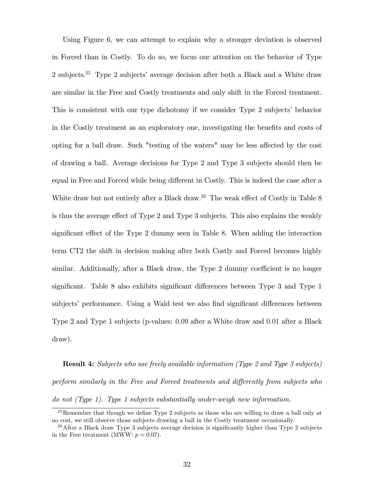Using Figure 6, we can attempt to explain why a stronger deviation is observed in Forced than in Costly. To do so, we focus our attention on the behavior of Type 2 subjects.<sup>25</sup> Type 2 subjects' average decision after both a Black and a White draw are similar in the Free and Costly treatments and only shift in the Forced treatment. This is consistent with our type dichotomy if we consider Type 2 subjects' behavior in the Costly treatment as an exploratory one, investigating the benefits and costs of opting for a ball draw. Such "testing of the waters" may be less affected by the cost of drawing a ball. Average decisions for Type 2 and Type 3 subjects should then be equal in Free and Forced while being different in Costly. This is indeed the case after a White draw but not entirely after a Black draw.<sup>26</sup> The weak effect of Costly in Table  $8$ is thus the average effect of Type 2 and Type 3 subjects. This also explains the weakly significant effect of the Type  $2$  dummy seen in Table 8. When adding the interaction term CT2 the shift in decision making after both Costly and Forced becomes highly similar. Additionally, after a Black draw, the Type 2 dummy coefficient is no longer significant. Table 8 also exhibits significant differences between Type 3 and Type  $1$ subjects' performance. Using a Wald test we also find significant differences between Type 2 and Type 1 subjects (p-values: 0:09 after a White draw and 0:01 after a Black draw).

Result 4: Subjects who use freely available information (Type 2 and Type 3 subjects) perform similarly in the Free and Forced treatments and differently from subjects who do not (Type 1). Type 1 subjects substantially under-weigh new information.

 $^{25}$ Remember that though we define Type 2 subjects as those who are willing to draw a ball only at no cost, we still observe those subjects drawing a ball in the Costly treatment occasionally.

<sup>&</sup>lt;sup>26</sup>After a Black draw Type 3 subjects average decision is significantly higher than Type 2 subjects in the Free treatment (MWW:  $p = 0.07$ ).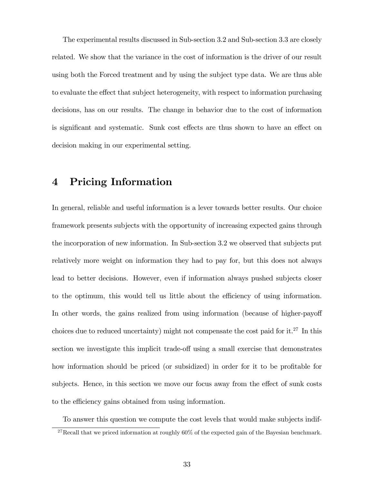The experimental results discussed in Sub-section 3.2 and Sub-section 3.3 are closely related. We show that the variance in the cost of information is the driver of our result using both the Forced treatment and by using the subject type data. We are thus able to evaluate the effect that subject heterogeneity, with respect to information purchasing decisions, has on our results. The change in behavior due to the cost of information is significant and systematic. Sunk cost effects are thus shown to have an effect on decision making in our experimental setting.

## 4 Pricing Information

In general, reliable and useful information is a lever towards better results. Our choice framework presents subjects with the opportunity of increasing expected gains through the incorporation of new information. In Sub-section 3.2 we observed that subjects put relatively more weight on information they had to pay for, but this does not always lead to better decisions. However, even if information always pushed subjects closer to the optimum, this would tell us little about the efficiency of using information. In other words, the gains realized from using information (because of higher-payoff choices due to reduced uncertainty) might not compensate the cost paid for it.<sup>27</sup> In this section we investigate this implicit trade-off using a small exercise that demonstrates how information should be priced (or subsidized) in order for it to be profitable for subjects. Hence, in this section we move our focus away from the effect of sunk costs to the efficiency gains obtained from using information.

To answer this question we compute the cost levels that would make subjects indif-

 $^{27}$ Recall that we priced information at roughly 60% of the expected gain of the Bayesian benchmark.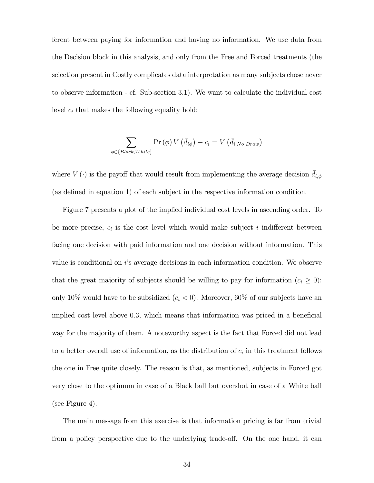ferent between paying for information and having no information. We use data from the Decision block in this analysis, and only from the Free and Forced treatments (the selection present in Costly complicates data interpretation as many subjects chose never to observe information - cf. Sub-section 3.1). We want to calculate the individual cost level  $c_i$  that makes the following equality hold:

$$
\sum_{\phi \in \{Black, White\}} \Pr(\phi) V(\bar{d}_{i\phi}) - c_i = V(\bar{d}_{i,No\ Draw})
$$

where  $V(\cdot)$  is the payoff that would result from implementing the average decision  $\bar{d}_{i,\phi}$ (as defined in equation 1) of each subject in the respective information condition.

Figure 7 presents a plot of the implied individual cost levels in ascending order. To be more precise,  $c_i$  is the cost level which would make subject i indifferent between facing one decision with paid information and one decision without information. This value is conditional on  $i$ 's average decisions in each information condition. We observe that the great majority of subjects should be willing to pay for information  $(c_i \geq 0)$ : only 10% would have to be subsidized  $(c_i < 0)$ . Moreover, 60% of our subjects have an implied cost level above 0.3, which means that information was priced in a beneficial way for the majority of them. A noteworthy aspect is the fact that Forced did not lead to a better overall use of information, as the distribution of  $c_i$  in this treatment follows the one in Free quite closely. The reason is that, as mentioned, subjects in Forced got very close to the optimum in case of a Black ball but overshot in case of a White ball (see Figure 4).

The main message from this exercise is that information pricing is far from trivial from a policy perspective due to the underlying trade-off. On the one hand, it can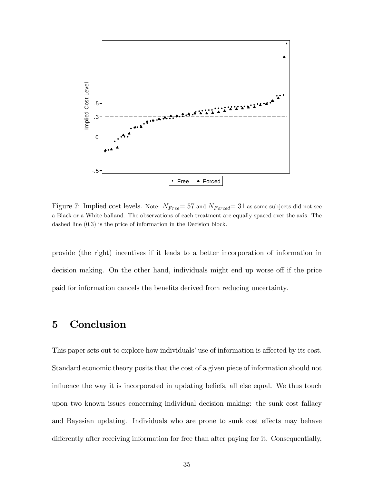

Figure 7: Implied cost levels. Note:  $N_{Free}=57$  and  $N_{Forced}=31$  as some subjects did not see a Black or a White balland. The observations of each treatment are equally spaced over the axis. The dashed line  $(0.3)$  is the price of information in the Decision block.

provide (the right) incentives if it leads to a better incorporation of information in decision making. On the other hand, individuals might end up worse off if the price paid for information cancels the benefits derived from reducing uncertainty.

## 5 Conclusion

This paper sets out to explore how individuals' use of information is affected by its cost. Standard economic theory posits that the cost of a given piece of information should not influence the way it is incorporated in updating beliefs, all else equal. We thus touch upon two known issues concerning individual decision making: the sunk cost fallacy and Bayesian updating. Individuals who are prone to sunk cost effects may behave differently after receiving information for free than after paying for it. Consequentially,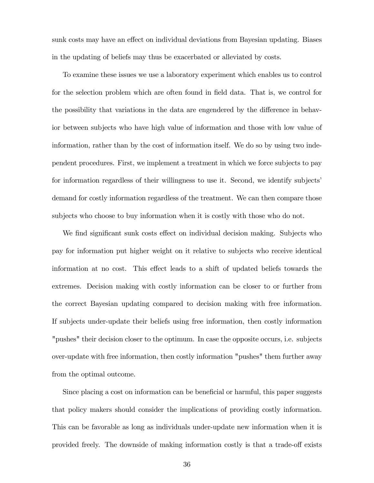sunk costs may have an effect on individual deviations from Bayesian updating. Biases in the updating of beliefs may thus be exacerbated or alleviated by costs.

To examine these issues we use a laboratory experiment which enables us to control for the selection problem which are often found in field data. That is, we control for the possibility that variations in the data are engendered by the difference in behavior between subjects who have high value of information and those with low value of information, rather than by the cost of information itself. We do so by using two independent procedures. First, we implement a treatment in which we force subjects to pay for information regardless of their willingness to use it. Second, we identify subjects' demand for costly information regardless of the treatment. We can then compare those subjects who choose to buy information when it is costly with those who do not.

We find significant sunk costs effect on individual decision making. Subjects who pay for information put higher weight on it relative to subjects who receive identical information at no cost. This effect leads to a shift of updated beliefs towards the extremes. Decision making with costly information can be closer to or further from the correct Bayesian updating compared to decision making with free information. If subjects under-update their beliefs using free information, then costly information "pushes" their decision closer to the optimum. In case the opposite occurs, i.e. subjects over-update with free information, then costly information "pushes" them further away from the optimal outcome.

Since placing a cost on information can be beneficial or harmful, this paper suggests that policy makers should consider the implications of providing costly information. This can be favorable as long as individuals under-update new information when it is provided freely. The downside of making information costly is that a trade-off exists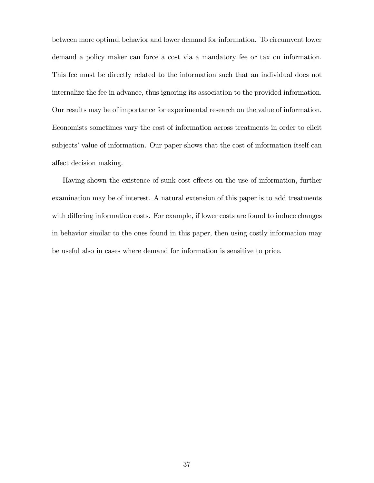between more optimal behavior and lower demand for information. To circumvent lower demand a policy maker can force a cost via a mandatory fee or tax on information. This fee must be directly related to the information such that an individual does not internalize the fee in advance, thus ignoring its association to the provided information. Our results may be of importance for experimental research on the value of information. Economists sometimes vary the cost of information across treatments in order to elicit subjects' value of information. Our paper shows that the cost of information itself can affect decision making.

Having shown the existence of sunk cost effects on the use of information, further examination may be of interest. A natural extension of this paper is to add treatments with differing information costs. For example, if lower costs are found to induce changes in behavior similar to the ones found in this paper, then using costly information may be useful also in cases where demand for information is sensitive to price.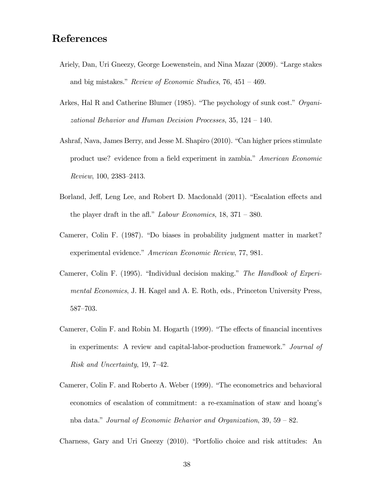## References

- Ariely, Dan, Uri Gneezy, George Loewenstein, and Nina Mazar (2009). "Large stakes and big mistakes." Review of Economic Studies, 76,  $451 - 469$ .
- Arkes, Hal R and Catherine Blumer (1985). "The psychology of sunk cost."  $Organ$ zational Behavior and Human Decision Processes,  $35, 124 - 140$ .
- Ashraf, Nava, James Berry, and Jesse M. Shapiro (2010). "Can higher prices stimulate product use? evidence from a field experiment in zambia." American Economic  $Review, 100, 2383–2413.$
- Borland, Jeff, Leng Lee, and Robert D. Macdonald (2011). "Escalation effects and the player draft in the afl." Labour Economics,  $18$ ,  $371 - 380$ .
- Camerer, Colin F. (1987). "Do biases in probability judgment matter in market? experimental evidence." American Economic Review, 77, 981.
- Camerer, Colin F. (1995). "Individual decision making." The Handbook of Experimental Economics, J. H. Kagel and A. E. Roth, eds., Princeton University Press, 587-703.
- Camerer, Colin F. and Robin M. Hogarth  $(1999)$ . "The effects of financial incentives in experiments: A review and capital-labor-production framework." Journal of Risk and Uncertainty, 19, 7–42.
- Camerer, Colin F. and Roberto A. Weber (1999). "The econometrics and behavioral economics of escalation of commitment: a re-examination of staw and hoang's nba data." Journal of Economic Behavior and Organization,  $39, 59 - 82$ .

Charness, Gary and Uri Gneezy  $(2010)$ . "Portfolio choice and risk attitudes: An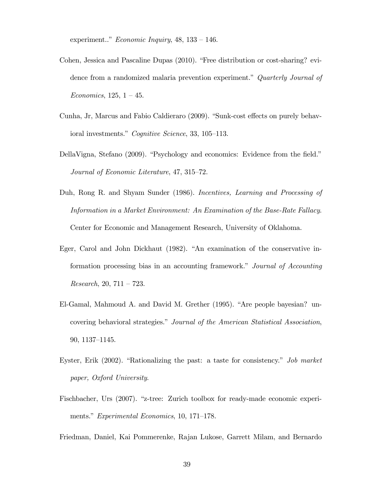experiment.." Economic Inquiry,  $48$ ,  $133 - 146$ .

- Cohen, Jessica and Pascaline Dupas (2010). "Free distribution or cost-sharing? evidence from a randomized malaria prevention experiment." Quarterly Journal of Economics,  $125, 1 - 45.$
- Cunha, Jr, Marcus and Fabio Caldieraro (2009). "Sunk-cost effects on purely behavioral investments." Cognitive Science, 33, 105–113.
- DellaVigna, Stefano (2009). "Psychology and economics: Evidence from the field." Journal of Economic Literature,  $47, 315-72$ .
- Duh, Rong R. and Shyam Sunder (1986). Incentives, Learning and Processing of Information in a Market Environment: An Examination of the Base-Rate Fallacy. Center for Economic and Management Research, University of Oklahoma.
- Eger, Carol and John Dickhaut  $(1982)$ . "An examination of the conservative information processing bias in an accounting framework." Journal of Accounting Research, 20, 711 – 723.
- El-Gamal, Mahmoud A. and David M. Grether (1995). "Are people bayesian? uncovering behavioral strategies." Journal of the American Statistical Association,  $90, 1137–1145.$
- Eyster, Erik  $(2002)$ . "Rationalizing the past: a taste for consistency." Job market paper, Oxford University.
- Fischbacher, Urs (2007). "z-tree: Zurich toolbox for ready-made economic experiments." Experimental Economics, 10, 171–178.

Friedman, Daniel, Kai Pommerenke, Rajan Lukose, Garrett Milam, and Bernardo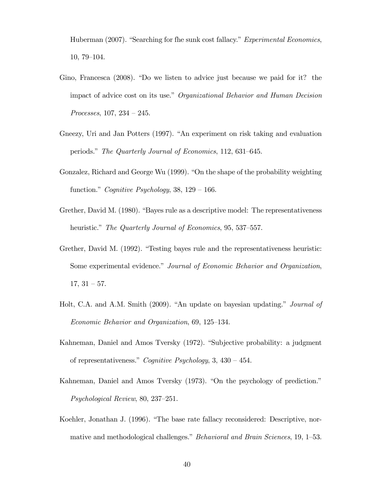Huberman (2007). "Searching for fhe sunk cost fallacy." Experimental Economics,  $10, 79-104.$ 

- Gino, Francesca  $(2008)$ . "Do we listen to advice just because we paid for it? the impact of advice cost on its use." Organizational Behavior and Human Decision *Processes*,  $107, 234 - 245.$
- Gneezy, Uri and Jan Potters (1997). "An experiment on risk taking and evaluation periods." The Quarterly Journal of Economics, 112, 631–645.
- Gonzalez, Richard and George Wu  $(1999)$ . "On the shape of the probability weighting function." Cognitive Psychology, 38, 129 – 166.
- Grether, David M. (1980). "Bayes rule as a descriptive model: The representativeness heuristic." The Quarterly Journal of Economics, 95, 537–557.
- Grether, David M. (1992). "Testing bayes rule and the representativeness heuristic: Some experimental evidence." Journal of Economic Behavior and Organization,  $17, 31 - 57.$
- Holt, C.A. and A.M. Smith (2009). "An update on bayesian updating." *Journal of* Economic Behavior and Organization, 69, 125–134.
- Kahneman, Daniel and Amos Tversky (1972). "Subjective probability: a judgment of representativeness." Cognitive Psychology, 3,  $430 - 454$ .
- Kahneman, Daniel and Amos Tversky (1973). "On the psychology of prediction."  $Psychological Review, 80, 237–251.$
- Koehler, Jonathan J. (1996). "The base rate fallacy reconsidered: Descriptive, normative and methodological challenges." Behavioral and Brain Sciences, 19,  $1-53$ .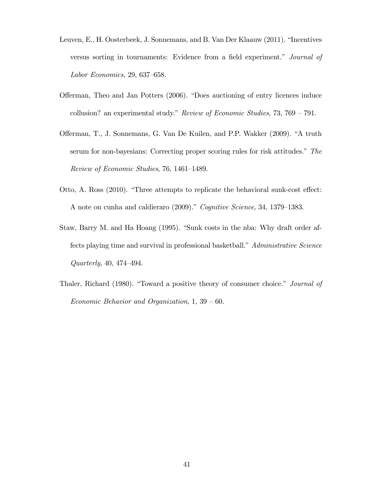- Leuven, E., H. Oosterbeek, J. Sonnemans, and B. Van Der Klaauw (2011). "Incentives versus sorting in tournaments: Evidence from a field experiment." Journal of Labor Economics, 29, 637–658.
- Offerman, Theo and Jan Potters (2006). "Does auctioning of entry licences induce collusion? an experimental study." Review of Economic Studies, 73, 769  $-$  791.
- Offerman, T., J. Sonnemans, G. Van De Kuilen, and P.P. Wakker (2009). "A truth serum for non-bayesians: Correcting proper scoring rules for risk attitudes." The Review of Economic Studies, 76, 1461–1489.
- Otto, A. Ross  $(2010)$ . "Three attempts to replicate the behavioral sunk-cost effect: A note on cunha and caldieraro (2009)." Cognitive Science, 34, 1379–1383.
- Staw, Barry M. and Ha Hoang (1995). "Sunk costs in the nba: Why draft order affects playing time and survival in professional basketball." Administrative Science  $Quarterly, 40, 474–494.$
- Thaler, Richard (1980). "Toward a positive theory of consumer choice." Journal of Economic Behavior and Organization,  $1, 39 - 60$ .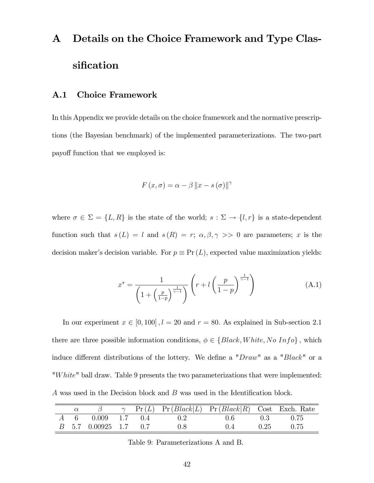# A Details on the Choice Framework and Type Classification

#### A.1 Choice Framework

In this Appendix we provide details on the choice framework and the normative prescriptions (the Bayesian benchmark) of the implemented parameterizations. The two-part payoff function that we employed is:

$$
F(x, \sigma) = \alpha - \beta ||x - s(\sigma)||^{\gamma}
$$

where  $\sigma \in \Sigma = \{L, R\}$  is the state of the world;  $s : \Sigma \to \{l, r\}$  is a state-dependent function such that  $s(L) = l$  and  $s(R) = r$ ;  $\alpha, \beta, \gamma \gg 0$  are parameters; x is the decision maker's decision variable. For  $p \equiv Pr(L)$ , expected value maximization yields:

$$
x^* = \frac{1}{\left(1 + \left(\frac{p}{1-p}\right)^{\frac{1}{\gamma-1}}\right)} \left(r + l\left(\frac{p}{1-p}\right)^{\frac{1}{\gamma-1}}\right) \tag{A.1}
$$

In our experiment  $x \in [0, 100]$ ,  $l = 20$  and  $r = 80$ . As explained in Sub-section 2.1 there are three possible information conditions,  $\phi \in \{Black, White, NoInfo\}$ , which induce different distributions of the lottery. We define a " $Draw$ " as a " $Black$ " or a "White" ball draw. Table 9 presents the two parameterizations that were implemented: A was used in the Decision block and  $B$  was used in the Identification block.

|  |                         |  |     | $\gamma$ Pr(L) Pr(Black L) Pr(Black R) Cost Exch. Rate |     |             |
|--|-------------------------|--|-----|--------------------------------------------------------|-----|-------------|
|  | A 6 0.009 1.7 0.4       |  | 0.2 | 0.6                                                    | 0.3 | 0.75        |
|  | $B$ 5.7 0.00925 1.7 0.7 |  | 0.8 | (1.4                                                   |     | $0.25$ 0.75 |

Table 9: Parameterizations A and B.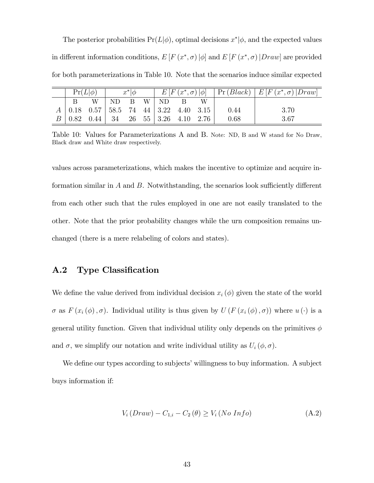The posterior probabilities  $Pr(L|\phi)$ , optimal decisions  $x^*|\phi$ , and the expected values in different information conditions,  $E[F(x^*, \sigma)|\phi]$  and  $E[F(x^*, \sigma)|Draw]$  are provided for both parameterizations in Table 10. Note that the scenarios induce similar expected

|  | $x^* \phi$<br>$Pr(L \phi)$                                                                                       |      |                |                     |  |  | $E[F(x^*, \sigma) \phi]$   Pr ( <i>Black</i> )   <i>E</i> [ <i>F</i> ( $x^*, \sigma$ )   <i>Draw</i> ] |      |
|--|------------------------------------------------------------------------------------------------------------------|------|----------------|---------------------|--|--|--------------------------------------------------------------------------------------------------------|------|
|  | W                                                                                                                | ∣ ND | $\overline{B}$ | $W \perp \text{ND}$ |  |  |                                                                                                        |      |
|  | $A   0.18 0.57   58.5 74 44   3.22 4.40 3.15  $                                                                  |      |                |                     |  |  | 0.44                                                                                                   | 3.70 |
|  | $\begin{array}{ c c c c c c c c c } \hline 0.82 & 0.44 & 34 & 26 & 55 & 3.26 & 4.10 & 2.76 \ \hline \end{array}$ |      |                |                     |  |  | 0.68                                                                                                   | 3.67 |

Table 10: Values for Parameterizations A and B. Note: ND, B and W stand for No Draw, Black draw and White draw respectively.

values across parameterizations, which makes the incentive to optimize and acquire information similar in  $A$  and  $B$ . Notwithstanding, the scenarios look sufficiently different from each other such that the rules employed in one are not easily translated to the other. Note that the prior probability changes while the urn composition remains unchanged (there is a mere relabeling of colors and states).

#### A.2 Type Classification

We define the value derived from individual decision  $x_i (\phi)$  given the state of the world  $\sigma$  as  $F(x_i(\phi), \sigma)$ . Individual utility is thus given by  $U(F(x_i(\phi), \sigma))$  where  $u(\cdot)$  is a general utility function. Given that individual utility only depends on the primitives  $\phi$ and  $\sigma$ , we simplify our notation and write individual utility as  $U_i(\phi, \sigma)$ .

We define our types according to subjects' willingness to buy information. A subject buys information if:

$$
V_i(Draw) - C_{1,i} - C_2(\theta) \ge V_i(No\ Info) \tag{A.2}
$$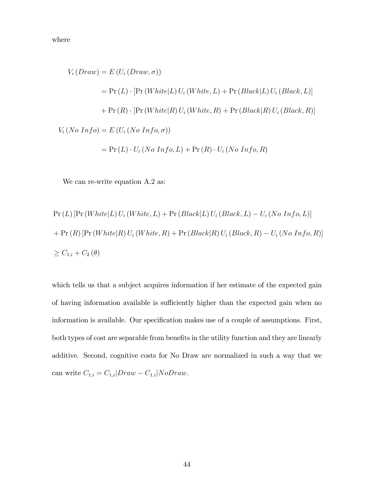where

$$
V_i(Draw) = E(U_i(Draw, \sigma))
$$
  
= Pr (L) · [Pr (White|L) U<sub>i</sub> (White, L) + Pr (Black|L) U<sub>i</sub> (Black, L)]  
+ Pr (R) · [Pr (White|R) U<sub>i</sub> (White, R) + Pr (Black|R) U<sub>i</sub> (Black, R)]  

$$
V_i (No Info) = E(U_i (No Info, \sigma))
$$
  
= Pr (L) · U<sub>i</sub> (No Info, L) + Pr (R) · U<sub>i</sub> (No Info, R)

We can re-write equation A.2 as:

$$
Pr (L) [Pr (White|L) Ui (White, L) + Pr (Black|L) Ui (Black, L) – Ui (No Info, L)]
$$
  
+ 
$$
Pr (R) [Pr (White|R) Ui (White, R) + Pr (Black|R) Ui (Black, R) – Ui (No Info, R)]
$$
  

$$
\geq C_{1,i} + C_2 (\theta)
$$

which tells us that a subject acquires information if her estimate of the expected gain of having information available is sufficiently higher than the expected gain when no information is available. Our specification makes use of a couple of assumptions. First, both types of cost are separable from benefits in the utility function and they are linearly additive. Second, cognitive costs for No Draw are normalized in such a way that we can write  $C_{1,i} = C_{1,i} |Draw - C_{1,i}|NoDraw.$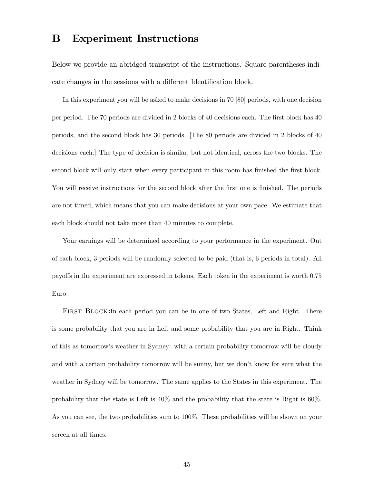## B Experiment Instructions

Below we provide an abridged transcript of the instructions. Square parentheses indicate changes in the sessions with a different Identification block.

In this experiment you will be asked to make decisions in 70 [80] periods, with one decision per period. The 70 periods are divided in 2 blocks of 40 decisions each. The first block has 40 periods, and the second block has 30 periods. [The 80 periods are divided in 2 blocks of 40 decisions each.] The type of decision is similar, but not identical, across the two blocks. The second block will only start when every participant in this room has finished the first block. You will receive instructions for the second block after the first one is finished. The periods are not timed, which means that you can make decisions at your own pace. We estimate that each block should not take more than 40 minutes to complete.

Your earnings will be determined according to your performance in the experiment. Out of each block, 3 periods will be randomly selected to be paid (that is, 6 periods in total). All payoffs in the experiment are expressed in tokens. Each token in the experiment is worth 0.75 Euro.

FIRST BLOCK: In each period you can be in one of two States, Left and Right. There is some probability that you are in Left and some probability that you are in Right. Think of this as tomorrowís weather in Sydney: with a certain probability tomorrow will be cloudy and with a certain probability tomorrow will be sunny, but we don't know for sure what the weather in Sydney will be tomorrow. The same applies to the States in this experiment. The probability that the state is Left is 40% and the probability that the state is Right is 60%. As you can see, the two probabilities sum to 100%. These probabilities will be shown on your screen at all times.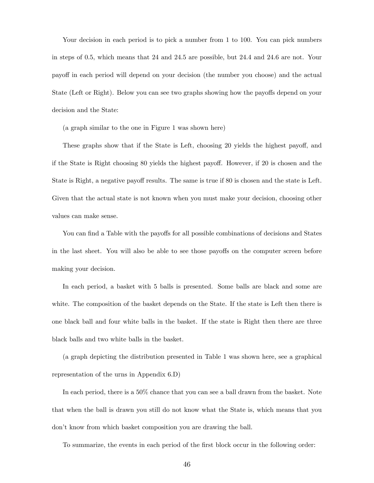Your decision in each period is to pick a number from 1 to 100. You can pick numbers in steps of 0.5, which means that 24 and 24.5 are possible, but 24.4 and 24.6 are not. Your payo§ in each period will depend on your decision (the number you choose) and the actual State (Left or Right). Below you can see two graphs showing how the payoffs depend on your decision and the State:

(a graph similar to the one in Figure 1 was shown here)

These graphs show that if the State is Left, choosing 20 yields the highest payoff, and if the State is Right choosing 80 yields the highest payoff. However, if 20 is chosen and the State is Right, a negative payoff results. The same is true if 80 is chosen and the state is Left. Given that the actual state is not known when you must make your decision, choosing other values can make sense.

You can find a Table with the payoffs for all possible combinations of decisions and States in the last sheet. You will also be able to see those payoffs on the computer screen before making your decision.

In each period, a basket with 5 balls is presented. Some balls are black and some are white. The composition of the basket depends on the State. If the state is Left then there is one black ball and four white balls in the basket. If the state is Right then there are three black balls and two white balls in the basket.

(a graph depicting the distribution presented in Table 1 was shown here, see a graphical representation of the urns in Appendix 6.D)

In each period, there is a 50% chance that you can see a ball drawn from the basket. Note that when the ball is drawn you still do not know what the State is, which means that you don't know from which basket composition you are drawing the ball.

To summarize, the events in each period of the first block occur in the following order: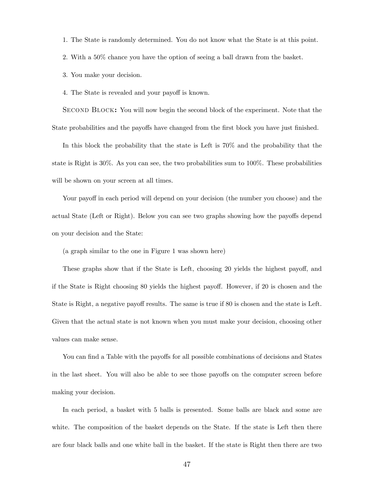1. The State is randomly determined. You do not know what the State is at this point.

2. With a 50% chance you have the option of seeing a ball drawn from the basket.

3. You make your decision.

4. The State is revealed and your payoff is known.

Second Block: You will now begin the second block of the experiment. Note that the State probabilities and the payoffs have changed from the first block you have just finished.

In this block the probability that the state is Left is 70% and the probability that the state is Right is 30%. As you can see, the two probabilities sum to 100%. These probabilities will be shown on your screen at all times.

Your payoff in each period will depend on your decision (the number you choose) and the actual State (Left or Right). Below you can see two graphs showing how the payoffs depend on your decision and the State:

(a graph similar to the one in Figure 1 was shown here)

These graphs show that if the State is Left, choosing 20 yields the highest payoff, and if the State is Right choosing 80 yields the highest payoff. However, if 20 is chosen and the State is Right, a negative payoff results. The same is true if 80 is chosen and the state is Left. Given that the actual state is not known when you must make your decision, choosing other values can make sense.

You can find a Table with the payoffs for all possible combinations of decisions and States in the last sheet. You will also be able to see those payoffs on the computer screen before making your decision.

In each period, a basket with 5 balls is presented. Some balls are black and some are white. The composition of the basket depends on the State. If the state is Left then there are four black balls and one white ball in the basket. If the state is Right then there are two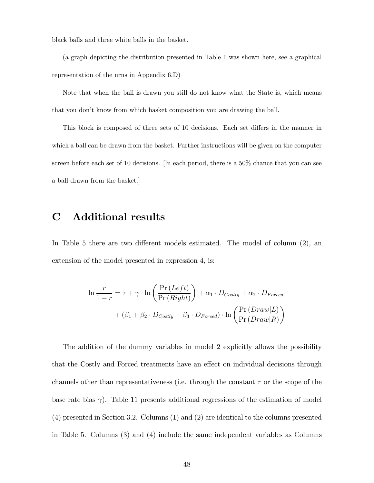black balls and three white balls in the basket.

(a graph depicting the distribution presented in Table 1 was shown here, see a graphical representation of the urns in Appendix 6.D)

Note that when the ball is drawn you still do not know what the State is, which means that you don't know from which basket composition you are drawing the ball.

This block is composed of three sets of 10 decisions. Each set differs in the manner in which a ball can be drawn from the basket. Further instructions will be given on the computer screen before each set of 10 decisions. [In each period, there is a 50% chance that you can see a ball drawn from the basket.]

## C Additional results

In Table 5 there are two different models estimated. The model of column  $(2)$ , an extension of the model presented in expression 4, is:

$$
\ln \frac{r}{1-r} = \tau + \gamma \cdot \ln \left( \frac{\Pr \left( Left \right)}{\Pr \left( Right \right)} \right) + \alpha_1 \cdot D_{Costly} + \alpha_2 \cdot D_{Forced}
$$

$$
+ \left( \beta_1 + \beta_2 \cdot D_{Costly} + \beta_3 \cdot D_{Forced} \right) \cdot \ln \left( \frac{\Pr \left( Draw | L \right)}{\Pr \left( Draw | R \right)} \right)
$$

The addition of the dummy variables in model 2 explicitly allows the possibility that the Costly and Forced treatments have an effect on individual decisions through channels other than representativeness (i.e. through the constant  $\tau$  or the scope of the base rate bias  $\gamma$ ). Table 11 presents additional regressions of the estimation of model (4) presented in Section 3.2. Columns (1) and (2) are identical to the columns presented in Table 5. Columns (3) and (4) include the same independent variables as Columns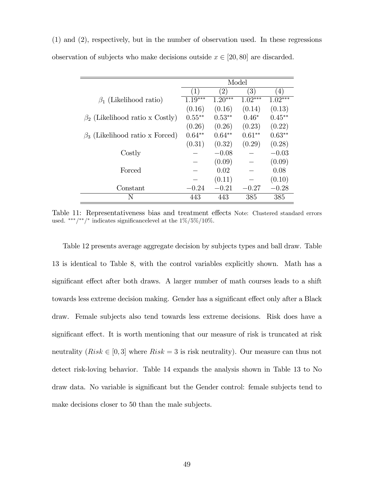|                                       | Model            |                   |                  |           |  |  |  |
|---------------------------------------|------------------|-------------------|------------------|-----------|--|--|--|
|                                       | $\left(1\right)$ | $\left( 2\right)$ | $\left(3\right)$ | (4)       |  |  |  |
| $\beta_1$ (Likelihood ratio)          | $1.19***$        | $1.20***$         | $1.02***$        | $1.02***$ |  |  |  |
|                                       | (0.16)           | (0.16)            | (0.14)           | (0.13)    |  |  |  |
| $\beta_2$ (Likelihood ratio x Costly) | $0.55***$        | $0.53**$          | $0.46*$          | $0.45***$ |  |  |  |
|                                       | (0.26)           | (0.26)            | (0.23)           | (0.22)    |  |  |  |
| $\beta_3$ (Likelihood ratio x Forced) | $0.64**$         | $0.64**$          | $0.61**$         | $0.63**$  |  |  |  |
|                                       | (0.31)           | (0.32)            | (0.29)           | (0.28)    |  |  |  |
| Costly                                |                  | $-0.08$           |                  | $-0.03$   |  |  |  |
|                                       |                  | (0.09)            |                  | (0.09)    |  |  |  |
| Forced                                |                  | 0.02              |                  | 0.08      |  |  |  |
|                                       |                  | (0.11)            |                  | (0.10)    |  |  |  |
| Constant                              | $-0.24$          | $-0.21$           | $-0.27$          | $-0.28$   |  |  |  |
| N                                     | 443              | 443               | 385              | 385       |  |  |  |

(1) and (2), respectively, but in the number of observation used. In these regressions observation of subjects who make decisions outside  $x \in [20, 80]$  are discarded.

Table 11: Representativeness bias and treatment effects Note: Clustered standard errors used. \*\*\*/\*\*/\* indicates significancelevel at the  $1\%/5\%/10\%$ .

Table 12 presents average aggregate decision by subjects types and ball draw. Table 13 is identical to Table 8, with the control variables explicitly shown. Math has a significant effect after both draws. A larger number of math courses leads to a shift towards less extreme decision making. Gender has a significant effect only after a Black draw. Female subjects also tend towards less extreme decisions. Risk does have a significant effect. It is worth mentioning that our measure of risk is truncated at risk neutrality  $(Risk \in [0, 3]$  where  $Risk = 3$  is risk neutrality). Our measure can thus not detect risk-loving behavior. Table 14 expands the analysis shown in Table 13 to No draw data. No variable is significant but the Gender control: female subjects tend to make decisions closer to 50 than the male subjects.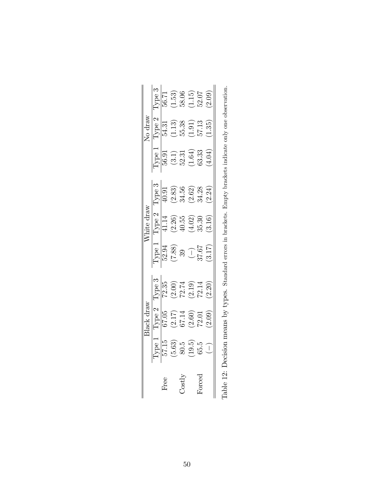|        |                                                                                         | lack dra                                                                                                                  |                                                                                                |                                                                    |                                                                                                                            |                                                                                                                              |                                                                                                                         |                                                                                                                                                                                                                                                                                                                                                                      |                                                                                                 |
|--------|-----------------------------------------------------------------------------------------|---------------------------------------------------------------------------------------------------------------------------|------------------------------------------------------------------------------------------------|--------------------------------------------------------------------|----------------------------------------------------------------------------------------------------------------------------|------------------------------------------------------------------------------------------------------------------------------|-------------------------------------------------------------------------------------------------------------------------|----------------------------------------------------------------------------------------------------------------------------------------------------------------------------------------------------------------------------------------------------------------------------------------------------------------------------------------------------------------------|-------------------------------------------------------------------------------------------------|
|        |                                                                                         |                                                                                                                           |                                                                                                |                                                                    |                                                                                                                            |                                                                                                                              |                                                                                                                         |                                                                                                                                                                                                                                                                                                                                                                      |                                                                                                 |
|        |                                                                                         |                                                                                                                           |                                                                                                |                                                                    |                                                                                                                            |                                                                                                                              |                                                                                                                         |                                                                                                                                                                                                                                                                                                                                                                      |                                                                                                 |
|        |                                                                                         |                                                                                                                           |                                                                                                |                                                                    |                                                                                                                            |                                                                                                                              |                                                                                                                         |                                                                                                                                                                                                                                                                                                                                                                      |                                                                                                 |
| Zostly |                                                                                         |                                                                                                                           |                                                                                                |                                                                    |                                                                                                                            |                                                                                                                              |                                                                                                                         |                                                                                                                                                                                                                                                                                                                                                                      |                                                                                                 |
|        | $\frac{\frac{1}{10} \text{pe}}{57.15}$ $(5.63)$ $(9.5)$ $(19.5)$ $(6.5)$ $(19.5)$ $(-)$ | $\frac{1}{\sqrt{100}}$<br>$\frac{1}{67.05}$<br>$\frac{(2.17)}{67.14}$<br>$\frac{(2.60)}{72.01}$<br>$\frac{(2.09)}{72.01}$ | $\frac{\overline{\text{Type 3}}}{\text{72.35}}$ (2.00)<br>(2.12)<br>(2.13)<br>(2.20)<br>(2.20) | $\frac{1}{\sqrt{13.94}}$<br>$(7.88)$<br>$(-)$<br>$(-)$<br>$(3.17)$ | $\frac{1}{1}$<br>$\frac{1}{4}$<br>$\frac{1}{4}$<br>$\frac{(2.36)}{40.55}$<br>$\frac{(4.02)}{35.30}$<br>$\frac{(3.16)}{35}$ | $\frac{1}{\sqrt{19}}$<br>$\frac{1}{\sqrt{19}}$<br>$\frac{(2.83)}{34.56}$<br>$\frac{(2.62)}{34.24}$<br>$\frac{(2.24)}{34.24}$ | $\frac{1}{\sqrt{199}}$<br>$\frac{1}{56.91}$<br>$\frac{(3.1)}{56.31}$<br>$\frac{(3.1)}{56.31}$<br>$\frac{(1.64)}{36.33}$ |                                                                                                                                                                                                                                                                                                                                                                      | $\frac{\Gamma \text{ype 3}}{56.71}$<br>$(1.53)$<br>$(3.53)$<br>$(1.15)$<br>$(1.15)$<br>$(2.09)$ |
|        |                                                                                         |                                                                                                                           |                                                                                                |                                                                    |                                                                                                                            |                                                                                                                              |                                                                                                                         |                                                                                                                                                                                                                                                                                                                                                                      |                                                                                                 |
|        |                                                                                         |                                                                                                                           |                                                                                                |                                                                    |                                                                                                                            |                                                                                                                              |                                                                                                                         | $\frac{\text{Vol} \text{diam}}{\text{Type 2}}$<br>$\frac{1}{2}$<br>$\frac{1}{2}$<br>$\frac{1}{3}$<br>$\frac{1}{3}$<br>$\frac{1}{3}$<br>$\frac{1}{3}$<br>$\frac{1}{3}$<br>$\frac{1}{3}$<br>$\frac{1}{3}$<br>$\frac{1}{3}$<br>$\frac{1}{3}$<br>$\frac{1}{3}$<br>$\frac{1}{3}$<br>$\frac{1}{3}$<br>$\frac{1}{3}$<br>$\frac{1}{3}$<br>$\frac{1}{3}$<br>$\frac{1}{3}$<br> |                                                                                                 |
|        |                                                                                         |                                                                                                                           |                                                                                                |                                                                    |                                                                                                                            |                                                                                                                              |                                                                                                                         |                                                                                                                                                                                                                                                                                                                                                                      |                                                                                                 |

| į<br>j<br>i                        |
|------------------------------------|
| i                                  |
| Ì                                  |
|                                    |
| l<br>İ                             |
|                                    |
|                                    |
| ļ<br>ł<br>$\overline{\phantom{a}}$ |
|                                    |
| - 1<br>- 1<br>- 1<br>i<br>I<br>l   |
|                                    |
| i<br>ţ<br>i                        |
| ĺ                                  |
|                                    |
| $\frac{1}{2}$                      |
| Į                                  |
| $\overline{\phantom{a}}$<br>j      |
| J                                  |
| j<br>Ì<br>İ<br>j<br>֚֓             |
| <br> <br>                          |
| <br> <br>                          |
| į<br>Can ann Cran                  |
|                                    |
| j<br>ו<br>נ                        |
| Ï                                  |
| ļ<br>١                             |
| ׀<br>׀                             |
| j<br>l<br>l<br>J                   |
| j<br>$\overline{\phantom{a}}$<br>I |
|                                    |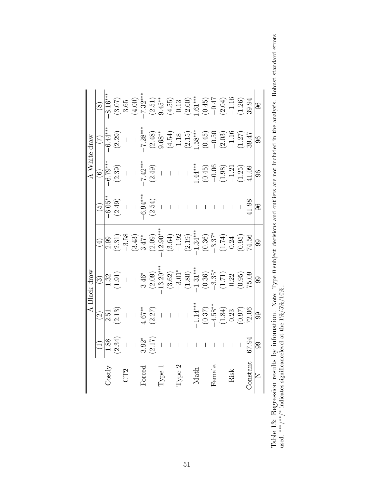|              |                        | $-8.16***$ |                                                                                      |     |        |                         |                   |                                                               |                 |                                                   |      | $\begin{array}{l} (3.07)\\ (3.65)\\ (4.00)\\ (2.51)\\ (4.55)\\ (4.55)\\ (4.56)\\ (4.57)\\ (4.58)\\ (4.59)\\ (4.51)\\ (4.51)\\ (4.52)\\ (4.53)\\ (4.54)\\ (4.55)\\ (4.56)\\ (4.57)\\ (4.58)\\ (4.59)\\ (4.59)\\ (4.50)\\ (4.51)\\ (4.54)\\ (4.59)\\ (4.50)\\ (4.51)\\ (4.52)\\ (4.53)\\ (4.54)\\ (4.$                                          |        |            |      |                 | 96              |
|--------------|------------------------|------------|--------------------------------------------------------------------------------------|-----|--------|-------------------------|-------------------|---------------------------------------------------------------|-----------------|---------------------------------------------------|------|-----------------------------------------------------------------------------------------------------------------------------------------------------------------------------------------------------------------------------------------------------------------------------------------------------------------------------------------------|--------|------------|------|-----------------|-----------------|
|              | $\sum_{i=1}^{n}$       | $-6.44***$ | (2.29)                                                                               |     |        |                         |                   |                                                               |                 |                                                   |      | $-7.28***$<br>$(2.48)$<br>$(4.54)$<br>$(1.18)$<br>$(1.58***$<br>$(0.45)$<br>$(0.50)$<br>$(0.67)$<br>$(0.30)$<br>$(1.27)$<br>$-1.16$<br>$(1.27)$                                                                                                                                                                                               |        |            |      |                 | $\frac{8}{2}$   |
| A White draw |                        |            |                                                                                      |     |        |                         |                   |                                                               |                 |                                                   |      | $\frac{1}{16}$<br>$\frac{1}{16}$<br>$\frac{1}{16}$<br>$\frac{1}{16}$<br>$\frac{1}{16}$<br>$\frac{1}{16}$<br>$\frac{1}{16}$<br>$\frac{1}{16}$<br>$\frac{1}{16}$<br>$\frac{1}{16}$<br>$\frac{1}{16}$<br>$\frac{1}{16}$<br>$\frac{1}{16}$<br>$\frac{1}{16}$<br>$\frac{1}{16}$<br>$\frac{1}{16}$<br>$\frac{1}{16}$<br>$\frac{1}{16}$<br>$\frac{1$ |        |            |      |                 | $96\,$          |
|              |                        |            | $\frac{(5)}{(-6.05^{**})}$<br>$(2.49)$<br>$-6.94^{***}$<br>$-6.94^{***}$<br>$(2.54)$ |     |        |                         |                   | $\frac{1}{2}$ , $\frac{1}{2}$ , $\frac{1}{2}$ , $\frac{1}{2}$ |                 |                                                   |      |                                                                                                                                                                                                                                                                                                                                               |        | $1 + 1.98$ |      |                 | 96              |
|              | $\overline{(\pm)}$     |            |                                                                                      |     |        |                         |                   |                                                               |                 |                                                   |      | $\begin{array}{l} 2.99 \\[-4pt] 2.31 \\[-4pt] 2.58 \\[-4pt] 2.59 \\[-4pt] 2.59 \\[-4pt] 2.59 \\[-4pt] -1.31 \\[-4pt] -1.31 \\[-4pt] -1.33 \\[-4pt] -1.34 \\[-4pt] -1.34 \\[-4pt] -1.34 \\[-4pt] -1.34 \\[-4pt] -1.34 \\[-4pt] -1.34 \\[-4pt] -1.34 \\[-4pt] -1.34 \\[-4pt] -1.34 \\[-4pt] -1.34 \\[-4pt] -1.34 \\[-4pt] -1.34 \\[-4pt] -1.$   |        |            |      |                 | 99              |
| A Black draw | $\widehat{\mathbf{C}}$ |            | $\frac{1.32}{(1.91)}$                                                                |     |        |                         |                   |                                                               |                 |                                                   |      | $\frac{1}{3.46^*}$<br>$\frac{(3.09)}{(3.03^*)}$<br>$\frac{(3.09)}{(3.03^*)}$<br>$\frac{(3.09)}{(1.31^*)}$<br>$\frac{(3.09)}{(1.31^*)}$<br>$\frac{(3.09)}{(1.095)}$<br>$\frac{(3.09)}{(1.095)}$                                                                                                                                                |        |            |      |                 | $\overline{56}$ |
|              | $\widehat{2}$          |            | $\frac{2.51}{2.13}$                                                                  |     |        | $-$<br>4.67**<br>(2.27) |                   |                                                               |                 |                                                   |      | $\begin{array}{r} -1.14** \\ -1.14** \\ (0.37) \\ -4.58** \\ (1.84) \\ (0.37) \\ (0.97) \\ (0.97) \\ 72.06 \end{array}$                                                                                                                                                                                                                       |        |            |      |                 | 60              |
|              |                        |            | $\frac{1.88}{(2.34)}$                                                                |     |        | $-$ 3.92*<br>3.92*      |                   | $\frac{1}{2}$                                                 |                 | $\begin{array}{c c} \hline 1 & 1 & 1 \end{array}$ |      |                                                                                                                                                                                                                                                                                                                                               |        | $+6.73$    |      |                 | 99              |
|              |                        | Yostly     |                                                                                      | CT2 | rorced |                         | Type <sub>1</sub> |                                                               | ${\rm Type\ 2}$ |                                                   | Math |                                                                                                                                                                                                                                                                                                                                               | Female |            | Risk | <b>Jonstant</b> | $\mathsf{z}$    |

Table 13: Regression results by infomation. Note: Type 0 subject decisions and outliers are not included in the analysis. Robust standard errors used. \*\*\*/\*\*/\* indicates significancelevel at the  $1\%/5\%/10\%$ .. Table 13: Regression results by infomation. Note: Type 0 subject decisions and outliers are not included in the analysis. Robust standard errors used. \*\*\*/\*\* indicates significancelevel at the  $1\%/5\%/10\%$ .